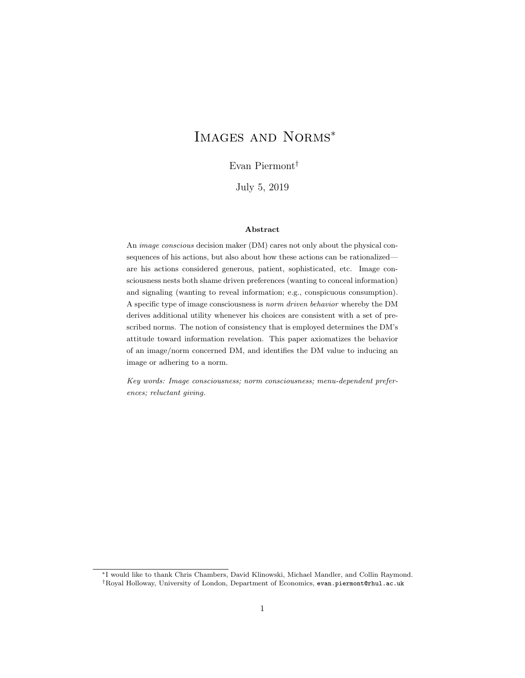# Images and Norms<sup>∗</sup>

Evan Piermont†

July 5, 2019

#### Abstract

An image conscious decision maker (DM) cares not only about the physical consequences of his actions, but also about how these actions can be rationalized are his actions considered generous, patient, sophisticated, etc. Image consciousness nests both shame driven preferences (wanting to conceal information) and signaling (wanting to reveal information; e.g., conspicuous consumption). A specific type of image consciousness is norm driven behavior whereby the DM derives additional utility whenever his choices are consistent with a set of prescribed norms. The notion of consistency that is employed determines the DM's attitude toward information revelation. This paper axiomatizes the behavior of an image/norm concerned DM, and identifies the DM value to inducing an image or adhering to a norm.

Key words: Image consciousness; norm consciousness; menu-dependent preferences; reluctant giving.

<sup>∗</sup>I would like to thank Chris Chambers, David Klinowski, Michael Mandler, and Collin Raymond. †Royal Holloway, University of London, Department of Economics, evan.piermont@rhul.ac.uk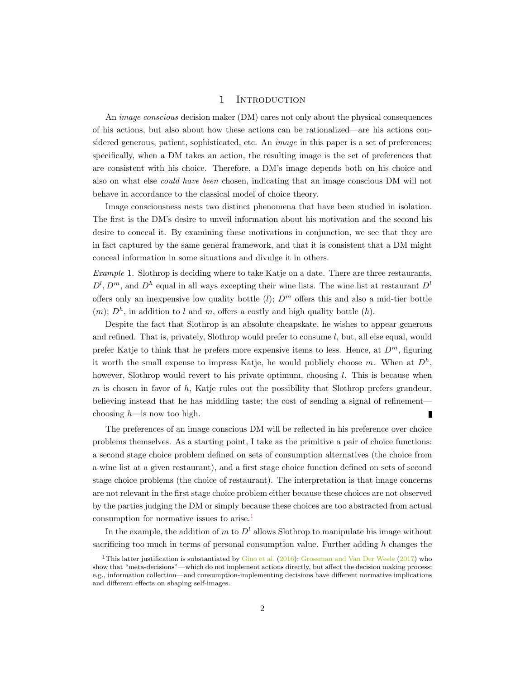## 1 INTRODUCTION

An image conscious decision maker (DM) cares not only about the physical consequences of his actions, but also about how these actions can be rationalized—are his actions considered generous, patient, sophisticated, etc. An *image* in this paper is a set of preferences; specifically, when a DM takes an action, the resulting image is the set of preferences that are consistent with his choice. Therefore, a DM's image depends both on his choice and also on what else could have been chosen, indicating that an image conscious DM will not behave in accordance to the classical model of choice theory.

Image consciousness nests two distinct phenomena that have been studied in isolation. The first is the DM's desire to unveil information about his motivation and the second his desire to conceal it. By examining these motivations in conjunction, we see that they are in fact captured by the same general framework, and that it is consistent that a DM might conceal information in some situations and divulge it in others.

<span id="page-1-1"></span>Example 1. Slothrop is deciding where to take Katje on a date. There are three restaurants,  $D^l, D^m$ , and  $D^h$  equal in all ways excepting their wine lists. The wine list at restaurant  $D^l$ offers only an inexpensive low quality bottle  $(l)$ ;  $D<sup>m</sup>$  offers this and also a mid-tier bottle  $(m)$ ;  $D<sup>h</sup>$ , in addition to l and m, offers a costly and high quality bottle  $(h)$ .

Despite the fact that Slothrop is an absolute cheapskate, he wishes to appear generous and refined. That is, privately, Slothrop would prefer to consume  $l$ , but, all else equal, would prefer Katje to think that he prefers more expensive items to less. Hence, at  $D^m$ , figuring it worth the small expense to impress Katje, he would publicly choose m. When at  $D^h$ , however, Slothrop would revert to his private optimum, choosing l. This is because when m is chosen in favor of h, Katje rules out the possibility that Slothrop prefers grandeur, believing instead that he has middling taste; the cost of sending a signal of refinement choosing  $h$ —is now too high. Г

The preferences of an image conscious DM will be reflected in his preference over choice problems themselves. As a starting point, I take as the primitive a pair of choice functions: a second stage choice problem defined on sets of consumption alternatives (the choice from a wine list at a given restaurant), and a first stage choice function defined on sets of second stage choice problems (the choice of restaurant). The interpretation is that image concerns are not relevant in the first stage choice problem either because these choices are not observed by the parties judging the DM or simply because these choices are too abstracted from actual consumption for normative issues to arise.[1](#page-1-0)

In the example, the addition of m to  $D<sup>l</sup>$  allows Slothrop to manipulate his image without sacrificing too much in terms of personal consumption value. Further adding  $h$  changes the

<span id="page-1-0"></span><sup>&</sup>lt;sup>1</sup>This latter justification is substantiated by  $G$ ino et al. [\(2016\)](#page-23-0); [Grossman and Van Der Weele](#page-23-1) [\(2017\)](#page-23-1) who show that "meta-decisions"—which do not implement actions directly, but affect the decision making process; e.g., information collection—and consumption-implementing decisions have different normative implications and different effects on shaping self-images.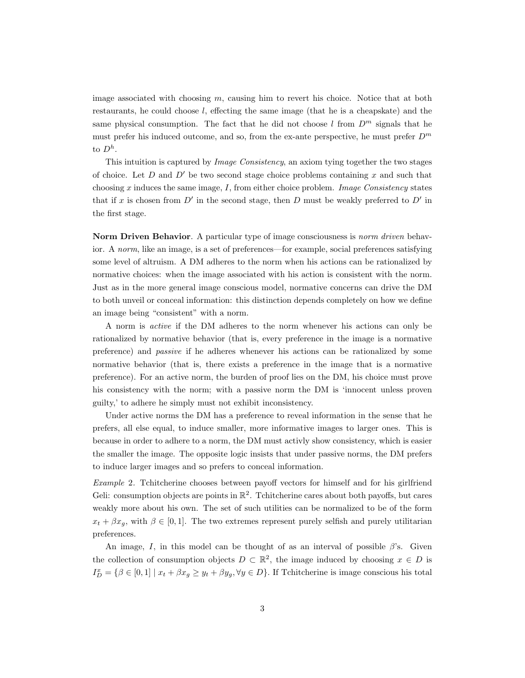image associated with choosing  $m$ , causing him to revert his choice. Notice that at both restaurants, he could choose l, effecting the same image (that he is a cheapskate) and the same physical consumption. The fact that he did not choose l from  $D^m$  signals that he must prefer his induced outcome, and so, from the ex-ante perspective, he must prefer  $D^m$ to  $D^h$ .

This intuition is captured by Image Consistency, an axiom tying together the two stages of choice. Let D and  $D'$  be two second stage choice problems containing x and such that choosing  $x$  induces the same image,  $I$ , from either choice problem. *Image Consistency* states that if x is chosen from  $D'$  in the second stage, then D must be weakly preferred to  $D'$  in the first stage.

Norm Driven Behavior. A particular type of image consciousness is *norm driven* behavior. A norm, like an image, is a set of preferences—for example, social preferences satisfying some level of altruism. A DM adheres to the norm when his actions can be rationalized by normative choices: when the image associated with his action is consistent with the norm. Just as in the more general image conscious model, normative concerns can drive the DM to both unveil or conceal information: this distinction depends completely on how we define an image being "consistent" with a norm.

A norm is active if the DM adheres to the norm whenever his actions can only be rationalized by normative behavior (that is, every preference in the image is a normative preference) and passive if he adheres whenever his actions can be rationalized by some normative behavior (that is, there exists a preference in the image that is a normative preference). For an active norm, the burden of proof lies on the DM, his choice must prove his consistency with the norm; with a passive norm the DM is 'innocent unless proven guilty,' to adhere he simply must not exhibit inconsistency.

Under active norms the DM has a preference to reveal information in the sense that he prefers, all else equal, to induce smaller, more informative images to larger ones. This is because in order to adhere to a norm, the DM must activly show consistency, which is easier the smaller the image. The opposite logic insists that under passive norms, the DM prefers to induce larger images and so prefers to conceal information.

<span id="page-2-0"></span>Example 2. Tchitcherine chooses between payoff vectors for himself and for his girlfriend Geli: consumption objects are points in  $\mathbb{R}^2$ . Tchitcherine cares about both payoffs, but cares weakly more about his own. The set of such utilities can be normalized to be of the form  $x_t + \beta x_g$ , with  $\beta \in [0, 1]$ . The two extremes represent purely selfish and purely utilitarian preferences.

An image, I, in this model can be thought of as an interval of possible  $\beta$ 's. Given the collection of consumption objects  $D \subset \mathbb{R}^2$ , the image induced by choosing  $x \in D$  is  $I_D^x = \{\beta \in [0,1] \mid x_t + \beta x_y \geq y_t + \beta y_y, \forall y \in D\}$ . If Tchitcherine is image conscious his total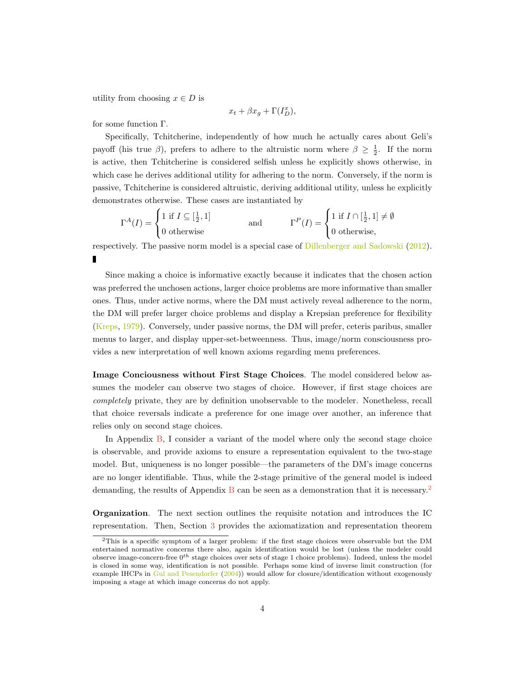utility from choosing  $x \in D$  is

$$
x_t + \beta x_g + \Gamma(I_D^x),
$$

for some function Γ.

Specifically, Tchitcherine, independently of how much he actually cares about Geli's payoff (his true  $\beta$ ), prefers to adhere to the altruistic norm where  $\beta \geq \frac{1}{2}$ . If the norm is active, then Tchitcherine is considered selfish unless he explicitly shows otherwise, in which case he derives additional utility for adhering to the norm. Conversely, if the norm is passive, Tchitcherine is considered altruistic, deriving additional utility, unless he explicitly demonstrates otherwise. These cases are instantiated by

$$
\Gamma^{A}(I) = \begin{cases} 1 \text{ if } I \subseteq [\frac{1}{2}, 1] \\ 0 \text{ otherwise} \end{cases} \quad \text{and} \quad \Gamma^{P}(I) = \begin{cases} 1 \text{ if } I \cap [\frac{1}{2}, 1] \neq \emptyset \\ 0 \text{ otherwise,} \end{cases}
$$

respectively. The passive norm model is a special case of [Dillenberger and Sadowski](#page-23-2) [\(2012\)](#page-23-2). П

Since making a choice is informative exactly because it indicates that the chosen action was preferred the unchosen actions, larger choice problems are more informative than smaller ones. Thus, under active norms, where the DM must actively reveal adherence to the norm, the DM will prefer larger choice problems and display a Krepsian preference for flexibility [\(Kreps,](#page-23-3) [1979\)](#page-23-3). Conversely, under passive norms, the DM will prefer, ceteris paribus, smaller menus to larger, and display upper-set-betweenness. Thus, image/norm consciousness provides a new interpretation of well known axioms regarding menu preferences.

Image Conciousness without First Stage Choices. The model considered below assumes the modeler can observe two stages of choice. However, if first stage choices are completely private, they are by definition unobservable to the modeler. Nonetheless, recall that choice reversals indicate a preference for one image over another, an inference that relies only on second stage choices.

In Appendix [B,](#page-15-0) I consider a variant of the model where only the second stage choice is observable, and provide axioms to ensure a representation equivalent to the two-stage model. But, uniqueness is no longer possible—the parameters of the DM's image concerns are no longer identifiable. Thus, while the 2-stage primitive of the general model is indeed demanding, the results of Appendix [B](#page-15-0) can be seen as a demonstration that it is necessary.<sup>[2](#page-3-0)</sup>

Organization. The next section outlines the requisite notation and introduces the IC representation. Then, Section [3](#page-5-0) provides the axiomatization and representation theorem

<span id="page-3-0"></span><sup>2</sup>This is a specific symptom of a larger problem: if the first stage choices were observable but the DM entertained normative concerns there also, again identification would be lost (unless the modeler could observe image-concern-free  $0^{th}$  stage choices over sets of stage 1 choice problems). Indeed, unless the model is closed in some way, identification is not possible. Perhaps some kind of inverse limit construction (for example IHCPs in [Gul and Pesendorfer](#page-23-4) [\(2004\)](#page-23-4)) would allow for closure/identification without exogenously imposing a stage at which image concerns do not apply.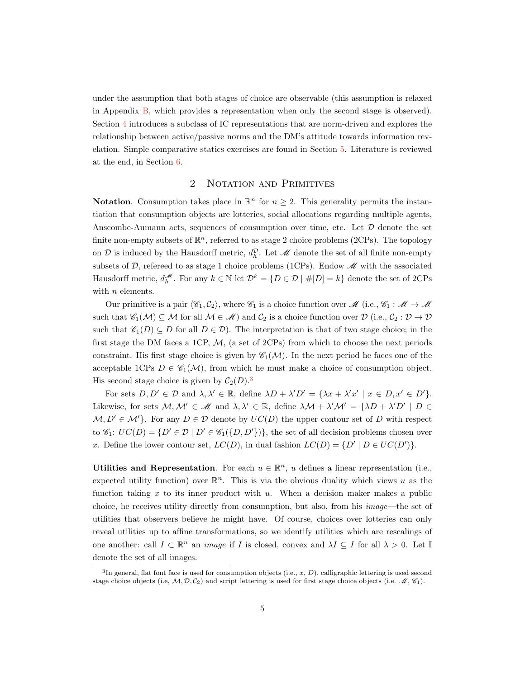under the assumption that both stages of choice are observable (this assumption is relaxed in Appendix [B,](#page-15-0) which provides a representation when only the second stage is observed). Section [4](#page-8-0) introduces a subclass of IC representations that are norm-driven and explores the relationship between active/passive norms and the DM's attitude towards information revelation. Simple comparative statics exercises are found in Section [5.](#page-11-0) Literature is reviewed at the end, in Section [6.](#page-12-0)

# 2 NOTATION AND PRIMITIVES

**Notation.** Consumption takes place in  $\mathbb{R}^n$  for  $n \geq 2$ . This generality permits the instantiation that consumption objects are lotteries, social allocations regarding multiple agents, Anscombe-Aumann acts, sequences of consumption over time, etc. Let  $D$  denote the set finite non-empty subsets of  $\mathbb{R}^n$ , referred to as stage 2 choice problems (2CPs). The topology on D is induced by the Hausdorff metric,  $d_h^{\mathcal{D}}$ . Let  $\mathcal{M}$  denote the set of all finite non-empty subsets of  $\mathcal{D}$ , refereed to as stage 1 choice problems (1CPs). Endow  $\mathcal{M}$  with the associated Hausdorff metric,  $d_h^{\mathscr{M}}$ . For any  $k \in \mathbb{N}$  let  $\mathcal{D}^k = \{D \in \mathcal{D} \mid \#[D] = k\}$  denote the set of 2CPs with *n* elements.

Our primitive is a pair  $\langle \mathcal{C}_1, \mathcal{C}_2 \rangle$ , where  $\mathcal{C}_1$  is a choice function over  $\mathcal{M}$  (i.e.,  $\mathcal{C}_1 : \mathcal{M} \to \mathcal{M}$ such that  $\mathscr{C}_1(\mathcal{M}) \subseteq \mathcal{M}$  for all  $\mathcal{M} \in \mathscr{M}$ ) and  $\mathcal{C}_2$  is a choice function over  $\mathcal{D}$  (i.e.,  $\mathcal{C}_2 : \mathcal{D} \to \mathcal{D}$ such that  $\mathscr{C}_1(D) \subseteq D$  for all  $D \in \mathcal{D}$ . The interpretation is that of two stage choice; in the first stage the DM faces a 1CP,  $M$ , (a set of 2CPs) from which to choose the next periods constraint. His first stage choice is given by  $\mathscr{C}_1(\mathcal{M})$ . In the next period he faces one of the acceptable 1CPs  $D \in \mathcal{C}_1(\mathcal{M})$ , from which he must make a choice of consumption object. His second stage choice is given by  $C_2(D)$ .<sup>[3](#page-4-0)</sup>

For sets  $D, D' \in \mathcal{D}$  and  $\lambda, \lambda' \in \mathbb{R}$ , define  $\lambda D + \lambda' D' = {\lambda x + \lambda' x' \mid x \in D, x' \in D'}$ . Likewise, for sets  $M, M' \in \mathcal{M}$  and  $\lambda, \lambda' \in \mathbb{R}$ , define  $\lambda \mathcal{M} + \lambda' \mathcal{M}' = {\lambda D + \lambda' D' | D \in \mathbb{R}}$  $M, D' \in \mathcal{M}'$ . For any  $D \in \mathcal{D}$  denote by  $UC(D)$  the upper contour set of D with respect to  $\mathscr{C}_1: UC(D) = \{D' \in \mathcal{D} \mid D' \in \mathscr{C}_1(\{D, D'\})\}$ , the set of all decision problems chosen over x. Define the lower contour set,  $LC(D)$ , in dual fashion  $LC(D) = \{D' | D \in UC(D')\}.$ 

Utilities and Representation. For each  $u \in \mathbb{R}^n$ , u defines a linear representation (i.e., expected utility function) over  $\mathbb{R}^n$ . This is via the obvious duality which views u as the function taking  $x$  to its inner product with  $u$ . When a decision maker makes a public choice, he receives utility directly from consumption, but also, from his image—the set of utilities that observers believe he might have. Of course, choices over lotteries can only reveal utilities up to affine transformations, so we identify utilities which are rescalings of one another: call  $I \subset \mathbb{R}^n$  an *image* if I is closed, convex and  $\lambda I \subseteq I$  for all  $\lambda > 0$ . Let I denote the set of all images.

<span id="page-4-0"></span><sup>&</sup>lt;sup>3</sup>In general, flat font face is used for consumption objects (i.e., x, D), calligraphic lettering is used second stage choice objects (i.e,  $M, \mathcal{D}, \mathcal{C}_2$ ) and script lettering is used for first stage choice objects (i.e.  $M, \mathcal{C}_1$ ).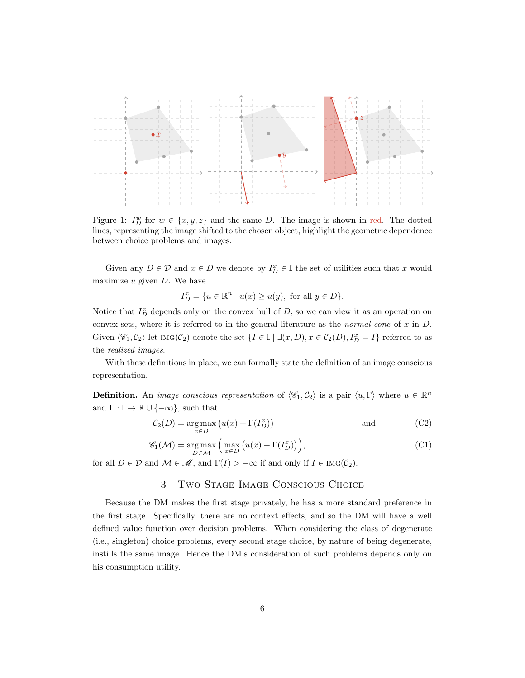

Figure 1:  $I_D^w$  for  $w \in \{x, y, z\}$  and the same D. The image is shown in red. The dotted lines, representing the image shifted to the chosen object, highlight the geometric dependence between choice problems and images.

Given any  $D \in \mathcal{D}$  and  $x \in D$  we denote by  $I_D^x \in \mathbb{I}$  the set of utilities such that x would maximize  $u$  given  $D$ . We have

$$
I_D^x = \{ u \in \mathbb{R}^n \mid u(x) \ge u(y), \text{ for all } y \in D \}.
$$

Notice that  $I_D^x$  depends only on the convex hull of D, so we can view it as an operation on convex sets, where it is referred to in the general literature as the *normal cone* of  $x$  in  $D$ . Given  $\langle \mathcal{C}_1, \mathcal{C}_2 \rangle$  let  $\text{Ind}(\mathcal{C}_2)$  denote the set  $\{I \in \mathbb{I} \mid \exists (x, D), x \in \mathcal{C}_2(D), I_D^x = I\}$  referred to as the realized images.

With these definitions in place, we can formally state the definition of an image conscious representation.

**Definition.** An *image conscious representation* of  $\langle \mathcal{C}_1, \mathcal{C}_2 \rangle$  is a pair  $\langle u, \Gamma \rangle$  where  $u \in \mathbb{R}^n$ and  $\Gamma : \mathbb{I} \to \mathbb{R} \cup \{-\infty\}$ , such that

$$
C_2(D) = \underset{x \in D}{\text{arg max}} \left( u(x) + \Gamma(I_D^x) \right) \tag{C2}
$$

$$
\mathscr{C}_1(\mathcal{M}) = \underset{D \in \mathcal{M}}{\arg \max} \left( \underset{x \in D}{\max} \left( u(x) + \Gamma(I_D^x) \right) \right), \tag{C1}
$$

<span id="page-5-0"></span>for all  $D \in \mathcal{D}$  and  $\mathcal{M} \in \mathcal{M}$ , and  $\Gamma(I) > -\infty$  if and only if  $I \in \text{Ind}(\mathcal{C}_2)$ .

# 3 Two Stage Image Conscious Choice

Because the DM makes the first stage privately, he has a more standard preference in the first stage. Specifically, there are no context effects, and so the DM will have a well defined value function over decision problems. When considering the class of degenerate (i.e., singleton) choice problems, every second stage choice, by nature of being degenerate, instills the same image. Hence the DM's consideration of such problems depends only on his consumption utility.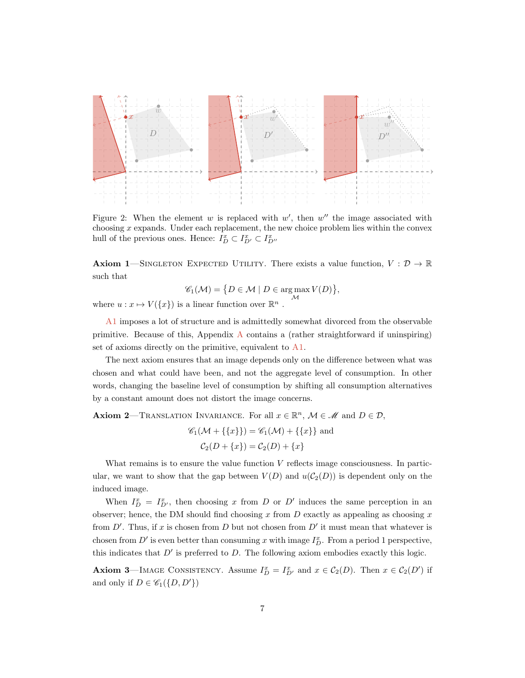

Figure 2: When the element  $w$  is replaced with  $w'$ , then  $w''$  the image associated with choosing  $x$  expands. Under each replacement, the new choice problem lies within the convex hull of the previous ones. Hence:  $I_D^x \subset I_{D'}^x \subset I_{D''}^x$ 

<span id="page-6-0"></span>**Axiom 1**—SINGLETON EXPECTED UTILITY. There exists a value function,  $V : \mathcal{D} \to \mathbb{R}$ such that

$$
\mathscr{C}_1(\mathcal{M}) = \{ D \in \mathcal{M} \mid D \in \operatorname*{arg\,max}_{\mathcal{M}} V(D) \},
$$

where  $u: x \mapsto V({x})$  is a linear function over  $\mathbb{R}^n$ .

[A1](#page-6-0) imposes a lot of structure and is admittedly somewhat divorced from the observable primitive. Because of this, Appendix [A](#page-14-0) contains a (rather straightforward if uninspiring) set of axioms directly on the primitive, equivalent to [A1](#page-6-0).

The next axiom ensures that an image depends only on the difference between what was chosen and what could have been, and not the aggregate level of consumption. In other words, changing the baseline level of consumption by shifting all consumption alternatives by a constant amount does not distort the image concerns.

<span id="page-6-1"></span>**Axiom 2**—TRANSLATION INVARIANCE. For all  $x \in \mathbb{R}^n$ ,  $M \in \mathcal{M}$  and  $D \in \mathcal{D}$ ,

$$
\mathcal{C}_1(\mathcal{M} + \{\{x\}\}) = \mathcal{C}_1(\mathcal{M}) + \{\{x\}\}\
$$
and  

$$
\mathcal{C}_2(D + \{x\}) = \mathcal{C}_2(D) + \{x\}
$$

What remains is to ensure the value function  $V$  reflects image consciousness. In particular, we want to show that the gap between  $V(D)$  and  $u(C_2(D))$  is dependent only on the induced image.

When  $I_D^x = I_{D'}^x$ , then choosing x from D or D' induces the same perception in an observer; hence, the DM should find choosing x from  $D$  exactly as appealing as choosing x from  $D'$ . Thus, if x is chosen from D but not chosen from  $D'$  it must mean that whatever is chosen from  $D'$  is even better than consuming x with image  $I_D^x$ . From a period 1 perspective, this indicates that  $D'$  is preferred to  $D$ . The following axiom embodies exactly this logic.

<span id="page-6-2"></span>Axiom 3—IMAGE CONSISTENCY. Assume  $I_D^x = I_{D'}^x$  and  $x \in C_2(D)$ . Then  $x \in C_2(D')$  if and only if  $D \in \mathscr{C}_1(\{D, D'\})$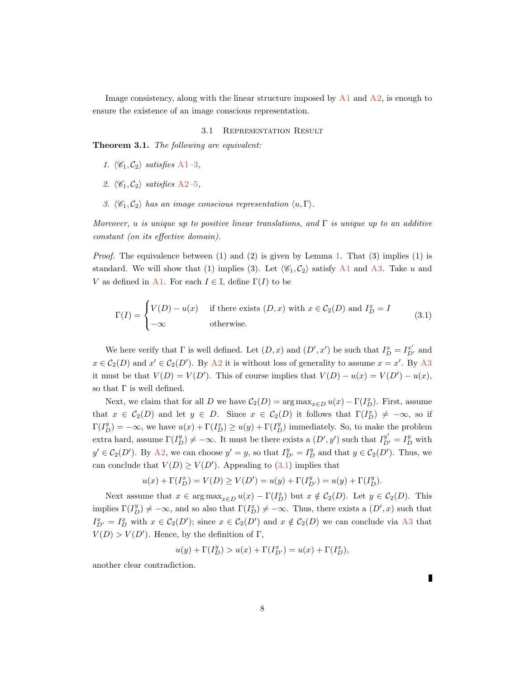Image consistency, along with the linear structure imposed by  $A1$  and  $A2$ , is enough to ensure the existence of an image conscious representation.

#### 3.1 Representation Result

<span id="page-7-1"></span>Theorem 3.1. The following are equivalent:

- 1.  $\langle \mathcal{C}_1, \mathcal{C}_2 \rangle$  satisfies [A1](#page-6-0)–[3](#page-6-2),
- 2.  $\langle \mathcal{C}_1, \mathcal{C}_2 \rangle$  satisfies [A2](#page-6-1)–[5](#page-14-1),
- 3.  $\langle \mathcal{C}_1, \mathcal{C}_2 \rangle$  has an image conscious representation  $\langle u, \Gamma \rangle$ .

Moreover, u is unique up to positive linear translations, and  $\Gamma$  is unique up to an additive constant (on its effective domain).

*Proof.* The equivalence between (1) and (2) is given by Lemma [1.](#page-14-2) That (3) implies (1) is standard. We will show that (1) implies (3). Let  $\langle \mathscr{C}_1, \mathscr{C}_2 \rangle$  satisfy [A1](#page-6-0) and [A3](#page-6-2). Take u and V as defined in [A1](#page-6-0). For each  $I \in \mathbb{I}$ , define  $\Gamma(I)$  to be

<span id="page-7-0"></span>
$$
\Gamma(I) = \begin{cases} V(D) - u(x) & \text{if there exists } (D, x) \text{ with } x \in C_2(D) \text{ and } I_D^x = I \\ -\infty & \text{otherwise.} \end{cases}
$$
(3.1)

We here verify that  $\Gamma$  is well defined. Let  $(D, x)$  and  $(D', x')$  be such that  $I_D^x = I_{D'}^{x'}$  and  $x \in C_2(D)$  and  $x' \in C_2(D')$ . By [A2](#page-6-1) it is without loss of generality to assume  $x = x'$ . By [A3](#page-6-2) it must be that  $V(D) = V(D')$ . This of course implies that  $V(D) - u(x) = V(D') - u(x)$ , so that  $\Gamma$  is well defined.

Next, we claim that for all D we have  $C_2(D) = \arg \max_{x \in D} u(x) - \Gamma(I_D^x)$ . First, assume that  $x \in C_2(D)$  and let  $y \in D$ . Since  $x \in C_2(D)$  it follows that  $\Gamma(I_D^x) \neq -\infty$ , so if  $\Gamma(I_D^y) = -\infty$ , we have  $u(x) + \Gamma(I_D^x) \ge u(y) + \Gamma(I_D^y)$  immediately. So, to make the problem extra hard, assume  $\Gamma(I_D^y) \neq -\infty$ . It must be there exists a  $(D', y')$  such that  $I_{D'}^{y'} = I_D^y$  with  $y' \in C_2(D')$ . By [A2](#page-6-1), we can choose  $y' = y$ , so that  $I_{D'}^y = I_D^y$  and that  $y \in C_2(D')$ . Thus, we can conclude that  $V(D) \geq V(D')$ . Appealing to [\(3.1\)](#page-7-0) implies that

$$
u(x) + \Gamma(I_D^x) = V(D) \ge V(D') = u(y) + \Gamma(I_{D'}^y) = u(y) + \Gamma(I_D^y).
$$

Next assume that  $x \in \arg \max_{x \in D} u(x) - \Gamma(I_D^x)$  but  $x \notin C_2(D)$ . Let  $y \in C_2(D)$ . This implies  $\Gamma(I_D^y) \neq -\infty$ , and so also that  $\Gamma(I_D^x) \neq -\infty$ . Thus, there exists a  $(D',x)$  such that  $I_{D'}^x = I_D^x$  with  $x \in C_2(D')$ ; since  $x \in C_2(D')$  and  $x \notin C_2(D)$  we can conclude via [A3](#page-6-2) that  $V(D) > V(D')$ . Hence, by the definition of  $\Gamma$ ,

$$
u(y) + \Gamma(I_D^y) > u(x) + \Gamma(I_{D'}^x) = u(x) + \Gamma(I_D^x),
$$

another clear contradiction.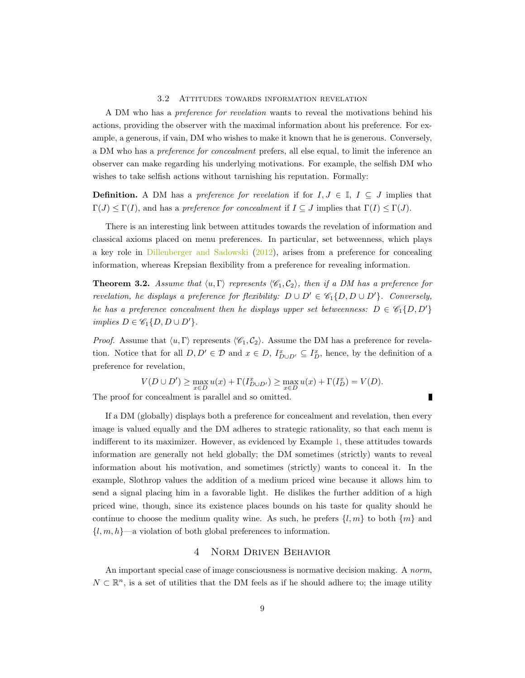#### 3.2 Attitudes towards information revelation

A DM who has a preference for revelation wants to reveal the motivations behind his actions, providing the observer with the maximal information about his preference. For example, a generous, if vain, DM who wishes to make it known that he is generous. Conversely, a DM who has a preference for concealment prefers, all else equal, to limit the inference an observer can make regarding his underlying motivations. For example, the selfish DM who wishes to take selfish actions without tarnishing his reputation. Formally:

**Definition.** A DM has a preference for revelation if for  $I, J \in \mathbb{I}$ ,  $I \subseteq J$  implies that  $\Gamma(J) \leq \Gamma(I)$ , and has a preference for concealment if  $I \subseteq J$  implies that  $\Gamma(I) \leq \Gamma(J)$ .

There is an interesting link between attitudes towards the revelation of information and classical axioms placed on menu preferences. In particular, set betweenness, which plays a key role in [Dillenberger and Sadowski](#page-23-2) [\(2012\)](#page-23-2), arises from a preference for concealing information, whereas Krepsian flexibility from a preference for revealing information.

**Theorem 3.2.** Assume that  $\langle u, \Gamma \rangle$  represents  $\langle \mathcal{C}_1, \mathcal{C}_2 \rangle$ , then if a DM has a preference for revelation, he displays a preference for flexibility:  $D \cup D' \in \mathscr{C}_1\{D, D \cup D'\}$ . Conversely, he has a preference concealment then he displays upper set betweenness:  $D \in \mathscr{C}_1\{D, D'\}$ implies  $D \in \mathscr{C}_1\{D, D \cup D'\}.$ 

*Proof.* Assume that  $\langle u, \Gamma \rangle$  represents  $\langle \mathcal{C}_1, \mathcal{C}_2 \rangle$ . Assume the DM has a preference for revelation. Notice that for all  $D, D' \in \mathcal{D}$  and  $x \in D$ ,  $I_{D\cup D'}^x \subseteq I_D^x$ , hence, by the definition of a preference for revelation,

$$
V(D \cup D') \ge \max_{x \in D} u(x) + \Gamma(I_{D \cup D'}^x) \ge \max_{x \in D} u(x) + \Gamma(I_D^x) = V(D).
$$

Π

The proof for concealment is parallel and so omitted.

If a DM (globally) displays both a preference for concealment and revelation, then every image is valued equally and the DM adheres to strategic rationality, so that each menu is indifferent to its maximizer. However, as evidenced by Example [1,](#page-1-1) these attitudes towards information are generally not held globally; the DM sometimes (strictly) wants to reveal information about his motivation, and sometimes (strictly) wants to conceal it. In the example, Slothrop values the addition of a medium priced wine because it allows him to send a signal placing him in a favorable light. He dislikes the further addition of a high priced wine, though, since its existence places bounds on his taste for quality should he continue to choose the medium quality wine. As such, he prefers  $\{l, m\}$  to both  $\{m\}$  and  $\{l, m, h\}$ —a violation of both global preferences to information.

## 4 Norm Driven Behavior

<span id="page-8-0"></span>An important special case of image consciousness is normative decision making. A norm,  $N \subset \mathbb{R}^n$ , is a set of utilities that the DM feels as if he should adhere to; the image utility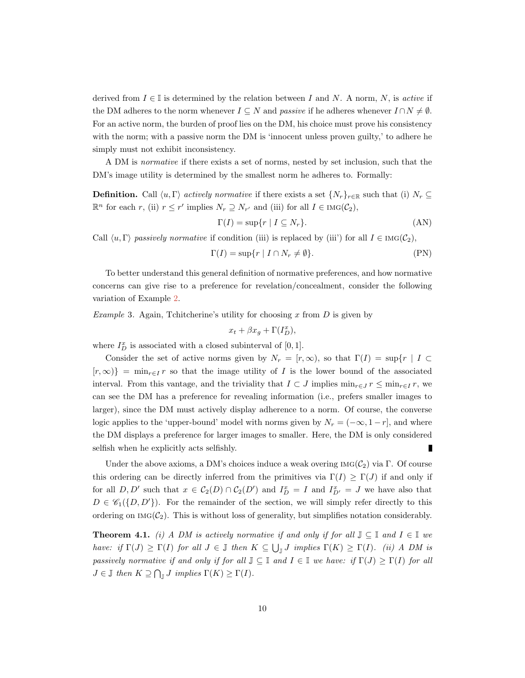derived from  $I \in \mathbb{I}$  is determined by the relation between I and N. A norm, N, is active if the DM adheres to the norm whenever  $I \subseteq N$  and passive if he adheres whenever  $I \cap N \neq \emptyset$ . For an active norm, the burden of proof lies on the DM, his choice must prove his consistency with the norm; with a passive norm the DM is 'innocent unless proven guilty,' to adhere he simply must not exhibit inconsistency.

A DM is normative if there exists a set of norms, nested by set inclusion, such that the DM's image utility is determined by the smallest norm he adheres to. Formally:

**Definition.** Call  $\langle u, \Gamma \rangle$  actively normative if there exists a set  $\{N_r\}_{r \in \mathbb{R}}$  such that (i)  $N_r \subseteq$  $\mathbb{R}^n$  for each r, (ii)  $r \leq r'$  implies  $N_r \supseteq N_{r'}$  and (iii) for all  $I \in \text{Ind}(\mathcal{C}_2)$ ,

<span id="page-9-0"></span>
$$
\Gamma(I) = \sup \{ r \mid I \subseteq N_r \}. \tag{AN}
$$

Call  $\langle u, \Gamma \rangle$  passively normative if condition (iii) is replaced by (iii') for all  $I \in \text{Ind}(\mathcal{C}_2)$ ,

$$
\Gamma(I) = \sup \{ r \mid I \cap N_r \neq \emptyset \}. \tag{PN}
$$

To better understand this general definition of normative preferences, and how normative concerns can give rise to a preference for revelation/concealment, consider the following variation of Example [2.](#page-2-0)

*Example* 3. Again, Tchitcherine's utility for choosing x from  $D$  is given by

$$
x_t + \beta x_g + \Gamma(I_D^x),
$$

where  $I_D^x$  is associated with a closed subinterval of  $[0, 1]$ .

Consider the set of active norms given by  $N_r = [r, \infty)$ , so that  $\Gamma(I) = \sup\{r \mid I \subset I\}$  $[r,\infty)$ } = min<sub>r∈I</sub> r so that the image utility of I is the lower bound of the associated interval. From this vantage, and the triviality that  $I \subset J$  implies  $\min_{r \in J} r \leq \min_{r \in I} r$ , we can see the DM has a preference for revealing information (i.e., prefers smaller images to larger), since the DM must actively display adherence to a norm. Of course, the converse logic applies to the 'upper-bound' model with norms given by  $N_r = (-\infty, 1-r]$ , and where the DM displays a preference for larger images to smaller. Here, the DM is only considered selfish when he explicitly acts selfishly. Г

Under the above axioms, a DM's choices induce a weak overing  $\text{Ind}(\mathcal{C}_2)$  via  $\Gamma$ . Of course this ordering can be directly inferred from the primitives via  $\Gamma(I) \geq \Gamma(J)$  if and only if for all  $D, D'$  such that  $x \in C_2(D) \cap C_2(D')$  and  $I_D^x = I$  and  $I_{D'}^x = J$  we have also that  $D \in \mathscr{C}_1(\{D, D'\})$ . For the remainder of the section, we will simply refer directly to this ordering on  $\text{Ind}(\mathcal{C}_2)$ . This is without loss of generality, but simplifies notation considerably.

<span id="page-9-1"></span>**Theorem 4.1.** (i) A DM is actively normative if and only if for all  $\mathbb{J} \subseteq \mathbb{I}$  and  $I \in \mathbb{I}$  we have: if  $\Gamma(J) \geq \Gamma(I)$  for all  $J \in \mathbb{J}$  then  $K \subseteq \bigcup_{\mathbb{J}} J$  implies  $\Gamma(K) \geq \Gamma(I)$ . (ii) A DM is passively normative if and only if for all  $\mathbb{J} \subseteq \mathbb{I}$  and  $I \in \mathbb{I}$  we have: if  $\Gamma(J) \geq \Gamma(I)$  for all  $J \in \mathbb{J}$  then  $K \supseteq \bigcap_{\mathbb{J}} J$  implies  $\Gamma(K) \geq \Gamma(I)$ .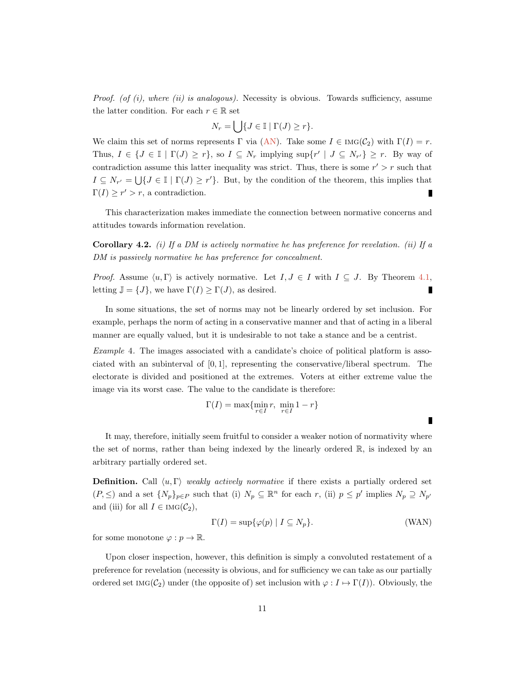*Proof.* (of  $(i)$ , where  $(ii)$  is analogous). Necessity is obvious. Towards sufficiency, assume the latter condition. For each  $r \in \mathbb{R}$  set

$$
N_r = \bigcup \{ J \in \mathbb{I} \mid \Gamma(J) \ge r \}.
$$

We claim this set of norms represents Γ via [\(AN\)](#page-9-0). Take some  $I \in \text{Ind}(\mathcal{C}_2)$  with  $\Gamma(I) = r$ . Thus,  $I \in \{J \in \mathbb{I} \mid \Gamma(J) \geq r\}$ , so  $I \subseteq N_r$  implying  $\sup\{r' \mid J \subseteq N_{r'}\} \geq r$ . By way of contradiction assume this latter inequality was strict. Thus, there is some  $r' > r$  such that  $I \subseteq N_{r'} = \bigcup \{J \in \mathbb{I} \mid \Gamma(J) \geq r'\}.$  But, by the condition of the theorem, this implies that  $\Gamma(I) \geq r' > r$ , a contradiction.

This characterization makes immediate the connection between normative concerns and attitudes towards information revelation.

<span id="page-10-0"></span>**Corollary 4.2.** (i) If a DM is actively normative he has preference for revelation. (ii) If a DM is passively normative he has preference for concealment.

*Proof.* Assume  $\langle u, \Gamma \rangle$  is actively normative. Let  $I, J \in I$  with  $I \subseteq J$ . By Theorem [4.1,](#page-9-1) letting  $\mathbb{J} = \{J\}$ , we have  $\Gamma(I) \geq \Gamma(J)$ , as desired. п

In some situations, the set of norms may not be linearly ordered by set inclusion. For example, perhaps the norm of acting in a conservative manner and that of acting in a liberal manner are equally valued, but it is undesirable to not take a stance and be a centrist.

Example 4. The images associated with a candidate's choice of political platform is associated with an subinterval of [0, 1], representing the conservative/liberal spectrum. The electorate is divided and positioned at the extremes. Voters at either extreme value the image via its worst case. The value to the candidate is therefore:

$$
\Gamma(I) = \max\{\min_{r \in I} r, \ \min_{r \in I} 1 - r\}
$$

It may, therefore, initially seem fruitful to consider a weaker notion of normativity where the set of norms, rather than being indexed by the linearly ordered R, is indexed by an arbitrary partially ordered set.

**Definition.** Call  $\langle u, \Gamma \rangle$  weakly actively normative if there exists a partially ordered set  $(P, \leq)$  and a set  $\{N_p\}_{p \in P}$  such that (i)  $N_p \subseteq \mathbb{R}^n$  for each r, (ii)  $p \leq p'$  implies  $N_p \supseteq N_{p'}$ and (iii) for all  $I \in \text{Ind}(\mathcal{C}_2)$ ,

$$
\Gamma(I) = \sup \{ \varphi(p) \mid I \subseteq N_p \}. \tag{WAN}
$$

for some monotone  $\varphi : p \to \mathbb{R}$ .

Upon closer inspection, however, this definition is simply a convoluted restatement of a preference for revelation (necessity is obvious, and for sufficiency we can take as our partially ordered set IMG( $C_2$ ) under (the opposite of) set inclusion with  $\varphi: I \mapsto \Gamma(I)$ ). Obviously, the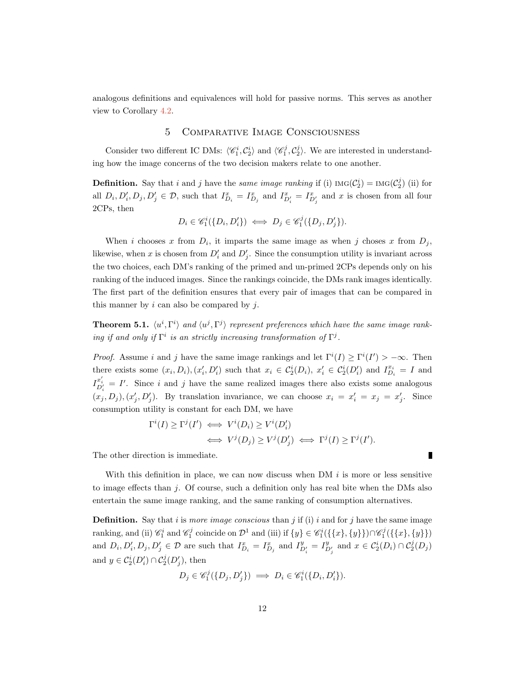<span id="page-11-0"></span>analogous definitions and equivalences will hold for passive norms. This serves as another view to Corollary [4.2.](#page-10-0)

## 5 Comparative Image Consciousness

Consider two different IC DMs:  $\langle \mathcal{C}_1^i, \mathcal{C}_2^i \rangle$  and  $\langle \mathcal{C}_1^j, \mathcal{C}_2^j \rangle$ . We are interested in understanding how the image concerns of the two decision makers relate to one another.

**Definition.** Say that i and j have the same image ranking if (i)  $\text{IMG}(\mathcal{C}_2^i) = \text{IMG}(\mathcal{C}_2^j)$  (ii) for all  $D_i, D'_i, D_j, D'_j \in \mathcal{D}$ , such that  $I_{D_i}^x = I_{D_j}^x$  and  $I_{D'_i}^x = I_{D'_j}^x$  and x is chosen from all four 2CPs, then

$$
D_i \in \mathcal{C}_1^i(\{D_i, D_i'\}) \iff D_j \in \mathcal{C}_1^j(\{D_j, D_j'\}).
$$

When i chooses x from  $D_i$ , it imparts the same image as when j choses x from  $D_j$ , likewise, when x is chosen from  $D_i'$  and  $D_j'$ . Since the consumption utility is invariant across the two choices, each DM's ranking of the primed and un-primed 2CPs depends only on his ranking of the induced images. Since the rankings coincide, the DMs rank images identically. The first part of the definition ensures that every pair of images that can be compared in this manner by  $i$  can also be compared by  $j$ .

**Theorem 5.1.**  $\langle u^i, \Gamma^i \rangle$  and  $\langle u^j, \Gamma^j \rangle$  represent preferences which have the same image ranking if and only if  $\Gamma^i$  is an strictly increasing transformation of  $\Gamma^j$ .

*Proof.* Assume i and j have the same image rankings and let  $\Gamma^{i}(I) \geq \Gamma^{i}(I') > -\infty$ . Then there exists some  $(x_i, D_i), (x'_i, D'_i)$  such that  $x_i \in C_2^i(D_i), x'_i \in C_2^i(D'_i)$  and  $I_{D_i}^{x_i} = I$  and  $I^{x'_i}_{D'_i} = I'$ . Since i and j have the same realized images there also exists some analogous  $(x_j, D_j), (x'_j, D'_j)$ . By translation invariance, we can choose  $x_i = x'_i = x_j = x'_j$ . Since consumption utility is constant for each DM, we have

$$
\Gamma^i(I) \ge \Gamma^j(I') \iff V^i(D_i) \ge V^i(D'_i) \iff V^j(D_j) \ge V^j(D'_j) \iff \Gamma^j(I) \ge \Gamma^j(I').
$$

The other direction is immediate.

With this definition in place, we can now discuss when DM  $i$  is more or less sensitive to image effects than  $j$ . Of course, such a definition only has real bite when the DMs also entertain the same image ranking, and the same ranking of consumption alternatives.

**Definition.** Say that i is more image conscious than j if (i) i and for j have the same image ranking, and (ii)  $\mathscr{C}_1^i$  and  $\mathscr{C}_1^j$  coincide on  $\mathcal{D}^1$  and (iii) if  $\{y\} \in \mathscr{C}_1^i(\{\{x\}, \{y\}\}) \cap \mathscr{C}_1^j(\{\{x\}, \{y\}\})$ and  $D_i, D'_i, D_j, D'_j \in \mathcal{D}$  are such that  $I_{D_i}^x = I_{D_j}^x$  and  $I_{D'_i}^y = I_{D'_j}^y$  and  $x \in C_2^i(D_i) \cap C_2^j(D_j)$ and  $y \in C_2^i(D'_i) \cap C_2^j(D'_j)$ , then

$$
D_j \in \mathscr{C}_1^j(\{D_j, D'_j\}) \implies D_i \in \mathscr{C}_1^i(\{D_i, D'_i\}).
$$

г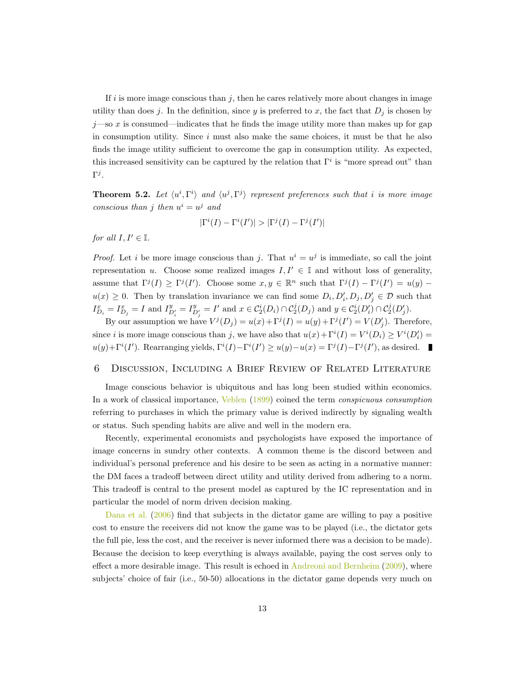If i is more image conscious than  $j$ , then he cares relatively more about changes in image utility than does j. In the definition, since y is preferred to x, the fact that  $D_j$  is chosen by  $j$ —so x is consumed—indicates that he finds the image utility more than makes up for gap in consumption utility. Since  $i$  must also make the same choices, it must be that he also finds the image utility sufficient to overcome the gap in consumption utility. As expected, this increased sensitivity can be captured by the relation that  $\Gamma^i$  is "more spread out" than  $\Gamma^j$ .

**Theorem 5.2.** Let  $\langle u^i, \Gamma^i \rangle$  and  $\langle u^j, \Gamma^j \rangle$  represent preferences such that i is more image conscious than j then  $u^i = u^j$  and

$$
|\Gamma^i(I) - \Gamma^i(I')| > |\Gamma^j(I) - \Gamma^j(I')|
$$

for all  $I, I' \in \mathbb{I}$ .

*Proof.* Let *i* be more image conscious than *j*. That  $u^i = u^j$  is immediate, so call the joint representation u. Choose some realized images  $I, I' \in \mathbb{I}$  and without loss of generality, assume that  $\Gamma^{j}(I) \geq \Gamma^{j}(I')$ . Choose some  $x, y \in \mathbb{R}^{n}$  such that  $\Gamma^{j}(I) - \Gamma^{j}(I') = u(y)$  $u(x) \geq 0$ . Then by translation invariance we can find some  $D_i, D'_i, D_j, D'_j \in \mathcal{D}$  such that  $I_{D_i}^x = I_{D_j}^x = I$  and  $I_{D_i'}^y = I_{D_j'}^y = I'$  and  $x \in C_2^i(D_i) \cap C_2^j(D_j)$  and  $y \in C_2^i(D_i') \cap C_2^j(D_j')$ .

By our assumption we have  $V^j(D_j) = u(x) + \Gamma^j(I) = u(y) + \Gamma^j(I') = V(D'_j)$ . Therefore, since *i* is more image conscious than *j*, we have also that  $u(x) + \Gamma^{i}(I) = V^{i}(D_{i}) \geq V^{i}(D'_{i})$  $u(y) + \Gamma^{i}(I')$ . Rearranging yields,  $\Gamma^{i}(I) - \Gamma^{i}(I') \ge u(y) - u(x) = \Gamma^{j}(I) - \Gamma^{j}(I')$ , as desired.

## <span id="page-12-0"></span>6 Discussion, Including a Brief Review of Related Literature

Image conscious behavior is ubiquitous and has long been studied within economics. In a work of classical importance, [Veblen](#page-23-5) [\(1899\)](#page-23-5) coined the term *conspicuous consumption* referring to purchases in which the primary value is derived indirectly by signaling wealth or status. Such spending habits are alive and well in the modern era.

Recently, experimental economists and psychologists have exposed the importance of image concerns in sundry other contexts. A common theme is the discord between and individual's personal preference and his desire to be seen as acting in a normative manner: the DM faces a tradeoff between direct utility and utility derived from adhering to a norm. This tradeoff is central to the present model as captured by the IC representation and in particular the model of norm driven decision making.

[Dana et al.](#page-23-6) [\(2006\)](#page-23-6) find that subjects in the dictator game are willing to pay a positive cost to ensure the receivers did not know the game was to be played (i.e., the dictator gets the full pie, less the cost, and the receiver is never informed there was a decision to be made). Because the decision to keep everything is always available, paying the cost serves only to effect a more desirable image. This result is echoed in [Andreoni and Bernheim](#page-23-7) [\(2009\)](#page-23-7), where subjects' choice of fair (i.e., 50-50) allocations in the dictator game depends very much on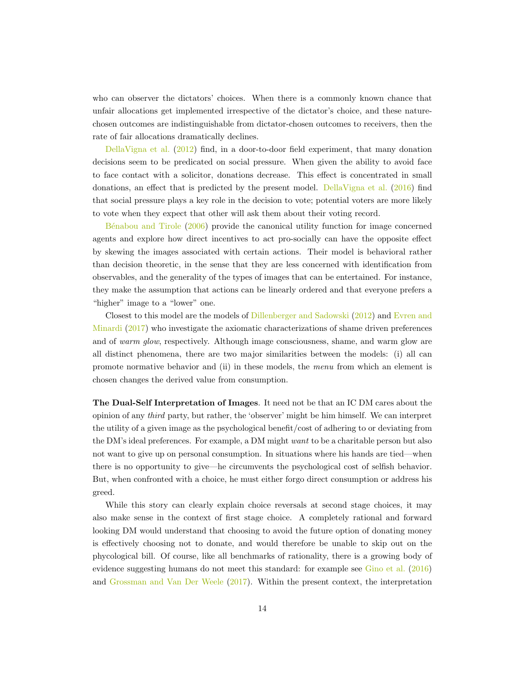who can observer the dictators' choices. When there is a commonly known chance that unfair allocations get implemented irrespective of the dictator's choice, and these naturechosen outcomes are indistinguishable from dictator-chosen outcomes to receivers, then the rate of fair allocations dramatically declines.

[DellaVigna et al.](#page-23-8) [\(2012\)](#page-23-8) find, in a door-to-door field experiment, that many donation decisions seem to be predicated on social pressure. When given the ability to avoid face to face contact with a solicitor, donations decrease. This effect is concentrated in small donations, an effect that is predicted by the present model. [DellaVigna et al.](#page-23-9) [\(2016\)](#page-23-9) find that social pressure plays a key role in the decision to vote; potential voters are more likely to vote when they expect that other will ask them about their voting record.

Bénabou and Tirole [\(2006\)](#page-23-10) provide the canonical utility function for image concerned agents and explore how direct incentives to act pro-socially can have the opposite effect by skewing the images associated with certain actions. Their model is behavioral rather than decision theoretic, in the sense that they are less concerned with identification from observables, and the generality of the types of images that can be entertained. For instance, they make the assumption that actions can be linearly ordered and that everyone prefers a "higher" image to a "lower" one.

Closest to this model are the models of [Dillenberger and Sadowski](#page-23-2) [\(2012\)](#page-23-2) and [Evren and](#page-23-11) [Minardi](#page-23-11) [\(2017\)](#page-23-11) who investigate the axiomatic characterizations of shame driven preferences and of warm glow, respectively. Although image consciousness, shame, and warm glow are all distinct phenomena, there are two major similarities between the models: (i) all can promote normative behavior and (ii) in these models, the menu from which an element is chosen changes the derived value from consumption.

The Dual-Self Interpretation of Images. It need not be that an IC DM cares about the opinion of any third party, but rather, the 'observer' might be him himself. We can interpret the utility of a given image as the psychological benefit/cost of adhering to or deviating from the DM's ideal preferences. For example, a DM might want to be a charitable person but also not want to give up on personal consumption. In situations where his hands are tied—when there is no opportunity to give—he circumvents the psychological cost of selfish behavior. But, when confronted with a choice, he must either forgo direct consumption or address his greed.

While this story can clearly explain choice reversals at second stage choices, it may also make sense in the context of first stage choice. A completely rational and forward looking DM would understand that choosing to avoid the future option of donating money is effectively choosing not to donate, and would therefore be unable to skip out on the phycological bill. Of course, like all benchmarks of rationality, there is a growing body of evidence suggesting humans do not meet this standard: for example see [Gino et al.](#page-23-0) [\(2016\)](#page-23-0) and [Grossman and Van Der Weele](#page-23-1) [\(2017\)](#page-23-1). Within the present context, the interpretation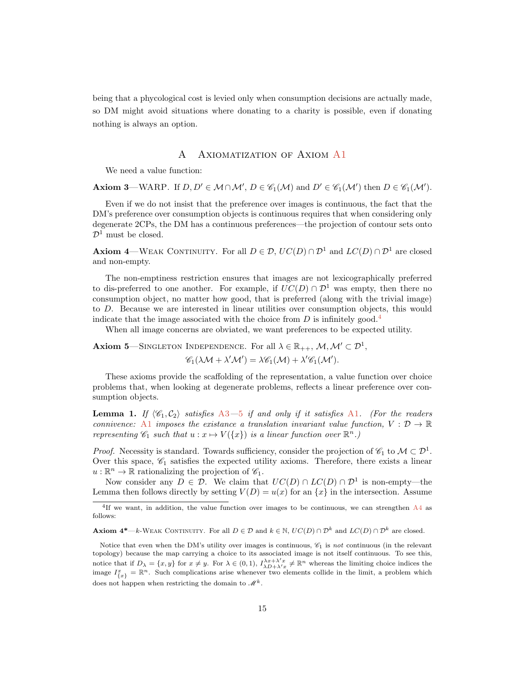<span id="page-14-0"></span>being that a phycological cost is levied only when consumption decisions are actually made, so DM might avoid situations where donating to a charity is possible, even if donating nothing is always an option.

## A AXIOMATIZATION OF AXIOM [A1](#page-6-0)

We need a value function:

**Axiom 3**—WARP. If  $D, D' \in M \cap M'$ ,  $D \in \mathcal{C}_1(\mathcal{M})$  and  $D' \in \mathcal{C}_1(\mathcal{M}')$  then  $D \in \mathcal{C}_1(\mathcal{M}')$ .

Even if we do not insist that the preference over images is continuous, the fact that the DM's preference over consumption objects is continuous requires that when considering only degenerate 2CPs, the DM has a continuous preferences—the projection of contour sets onto  $\mathcal{D}^1$  must be closed.

<span id="page-14-4"></span>**Axiom 4—WEAK CONTINUITY.** For all  $D \in \mathcal{D}$ ,  $UC(D) \cap \mathcal{D}^1$  and  $LC(D) \cap \mathcal{D}^1$  are closed and non-empty.

The non-emptiness restriction ensures that images are not lexicographically preferred to dis-preferred to one another. For example, if  $UC(D) \cap \mathcal{D}^1$  was empty, then there no consumption object, no matter how good, that is preferred (along with the trivial image) to D. Because we are interested in linear utilities over consumption objects, this would indicate that the image associated with the choice from  $D$  is infinitely good.<sup>[4](#page-14-3)</sup>

When all image concerns are obviated, we want preferences to be expected utility.

<span id="page-14-1"></span>**Axiom 5**—SINGLETON INDEPENDENCE. For all  $\lambda \in \mathbb{R}_{++}$ ,  $\mathcal{M}, \mathcal{M}' \subset \mathcal{D}^1$ ,

 $\mathscr{C}_1(\lambda \mathcal{M} + \lambda' \mathcal{M}') = \lambda \mathscr{C}_1(\mathcal{M}) + \lambda' \mathscr{C}_1(\mathcal{M}').$ 

These axioms provide the scaffolding of the representation, a value function over choice problems that, when looking at degenerate problems, reflects a linear preference over consumption objects.

<span id="page-14-2"></span>**Lemma 1.** If  $\langle \mathscr{C}_1, \mathscr{C}_2 \rangle$  satisfies [A3](#page-6-2)—[5](#page-14-1) if and only if it satisfies [A1](#page-6-0). (For the readers connivence: [A1](#page-6-0) imposes the existence a translation invariant value function,  $V : \mathcal{D} \to \mathbb{R}$ representing  $\mathscr{C}_1$  such that  $u : x \mapsto V(\lbrace x \rbrace)$  is a linear function over  $\mathbb{R}^n$ .

*Proof.* Necessity is standard. Towards sufficiency, consider the projection of  $\mathscr{C}_1$  to  $\mathcal{M} \subset \mathcal{D}^1$ . Over this space,  $\mathcal{C}_1$  satisfies the expected utility axioms. Therefore, there exists a linear  $u: \mathbb{R}^n \to \mathbb{R}$  rationalizing the projection of  $\mathscr{C}_1$ .

Now consider any  $D \in \mathcal{D}$ . We claim that  $UC(D) \cap LC(D) \cap \mathcal{D}^1$  is non-empty—the Lemma then follows directly by setting  $V(D) = u(x)$  for an  $\{x\}$  in the intersection. Assume

<span id="page-14-3"></span><sup>&</sup>lt;sup>4</sup>If we want, in addition, the value function over images to be continuous, we can strengthen [A4](#page-14-4) as follows:

Axiom  $4^*$ —k-WEAK CONTINUITY. For all  $D \in \mathcal{D}$  and  $k \in \mathbb{N}$ ,  $UC(D) \cap \mathcal{D}^k$  and  $LC(D) \cap \mathcal{D}^k$  are closed.

Notice that even when the DM's utility over images is continuous,  $\mathscr{C}_1$  is not continuous (in the relevant topology) because the map carrying a choice to its associated image is not itself continuous. To see this, notice that if  $D_{\lambda} = \{x, y\}$  for  $x \neq y$ . For  $\lambda \in (0, 1)$ ,  $I_{\lambda D+\lambda' x}^{\lambda x+\lambda' x} \neq \mathbb{R}^n$  whereas the limiting choice indices the image  $I_{\{x\}}^x = \mathbb{R}^n$ . Such complications arise whenever two elements collide in the limit, a problem which does not happen when restricting the domain to  $\mathcal{M}^k$ .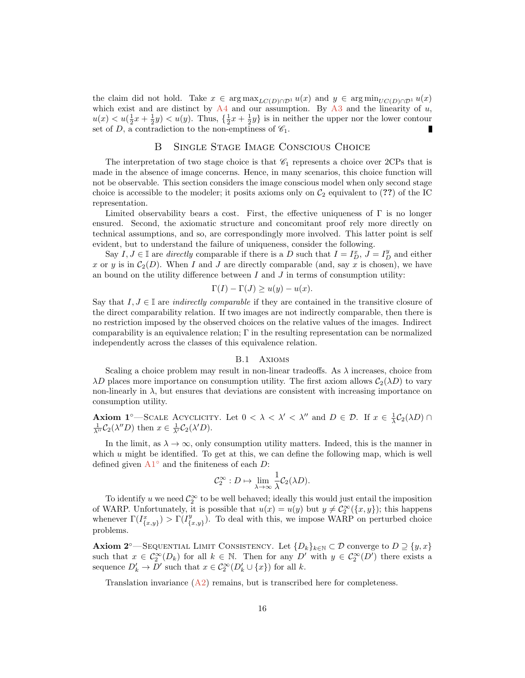the claim did not hold. Take  $x \in \arg \max_{L(C(D) \cap \mathcal{D}^1} u(x)$  and  $y \in \arg \min_{U(C(D) \cap \mathcal{D}^1} u(x)$ which exist and are distinct by  $A4$  and our assumption. By  $A3$  and the linearity of u,  $u(x) < u(\frac{1}{2}x + \frac{1}{2}y) < u(y)$ . Thus,  $\{\frac{1}{2}x + \frac{1}{2}y\}$  is in neither the upper nor the lower contour set of D, a contradiction to the non-emptiness of  $\mathscr{C}_1$ . ı

#### B Single Stage Image Conscious Choice

<span id="page-15-0"></span>The interpretation of two stage choice is that  $\mathscr{C}_1$  represents a choice over 2CPs that is made in the absence of image concerns. Hence, in many scenarios, this choice function will not be observable. This section considers the image conscious model when only second stage choice is accessible to the modeler; it posits axioms only on  $C_2$  equivalent to (??) of the IC representation.

Limited observability bears a cost. First, the effective uniqueness of  $\Gamma$  is no longer ensured. Second, the axiomatic structure and concomitant proof rely more directly on technical assumptions, and so, are correspondingly more involved. This latter point is self evident, but to understand the failure of uniqueness, consider the following.

Say  $I, J \in \mathbb{I}$  are *directly* comparable if there is a D such that  $I = I_D^x, J = I_D^y$  and either x or y is in  $C_2(D)$ . When I and J are directly comparable (and, say x is chosen), we have an bound on the utility difference between  $I$  and  $J$  in terms of consumption utility:

$$
\Gamma(I) - \Gamma(J) \ge u(y) - u(x).
$$

Say that  $I, J \in \mathbb{I}$  are *indirectly comparable* if they are contained in the transitive closure of the direct comparability relation. If two images are not indirectly comparable, then there is no restriction imposed by the observed choices on the relative values of the images. Indirect comparability is an equivalence relation;  $\Gamma$  in the resulting representation can be normalized independently across the classes of this equivalence relation.

#### B.1 Axioms

Scaling a choice problem may result in non-linear tradeoffs. As  $\lambda$  increases, choice from  $\lambda D$  places more importance on consumption utility. The first axiom allows  $C_2(\lambda D)$  to vary non-linearly in  $\lambda$ , but ensures that deviations are consistent with increasing importance on consumption utility.

Axiom 1<sup>°</sup>—SCALE ACYCLICITY. Let  $0 < \lambda < \lambda' < \lambda''$  and  $D \in \mathcal{D}$ . If  $x \in \frac{1}{\lambda}C_2(\lambda D) \cap$  $\frac{1}{\lambda''}C_2(\lambda''D)$  then  $x \in \frac{1}{\lambda'}C_2(\lambda'D)$ .

In the limit, as  $\lambda \to \infty$ , only consumption utility matters. Indeed, this is the manner in which u might be identified. To get at this, we can define the following map, which is well defined given  $A1^{\circ}$  $A1^{\circ}$  and the finiteness of each D:

$$
\mathcal{C}_2^{\infty}: D \mapsto \lim_{\lambda \to \infty} \frac{1}{\lambda} \mathcal{C}_2(\lambda D).
$$

To identify u we need  $\mathcal{C}_2^{\infty}$  to be well behaved; ideally this would just entail the imposition of WARP. Unfortunately, it is possible that  $u(x) = u(y)$  but  $y \neq C_2^{\infty}(\lbrace x, y \rbrace)$ ; this happens whenever  $\Gamma(I_{\{x,y\}}^x) > \Gamma(I_{\{y\}}^y)$  ${y \choose {x,y}}$ . To deal with this, we impose WARP on perturbed choice problems.

Axiom 2<sup>°</sup>—Sequential Limit Consistency. Let  $\{D_k\}_{k\in\mathbb{N}}\subset\mathcal{D}$  converge to  $D\supseteq\{y,x\}$ such that  $x \in C_2^{\infty}(D_k)$  for all  $k \in \mathbb{N}$ . Then for any  $D'$  with  $y \in C_2^{\infty}(D')$  there exists a sequence  $D'_k \to D'$  such that  $x \in C_2^{\infty}(D'_k \cup \{x\})$  for all k.

Translation invariance  $(A2)$  $(A2)$  $(A2)$  remains, but is transcribed here for completeness.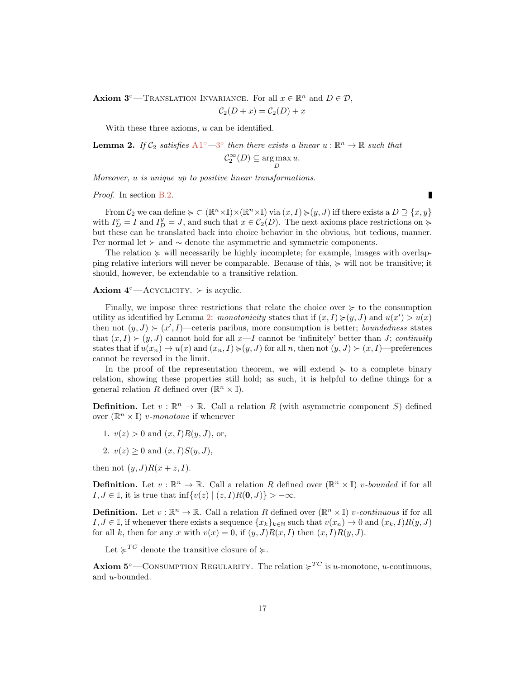**Axiom 3<sup>°</sup>**—TRANSLATION INVARIANCE. For all  $x \in \mathbb{R}^n$  and  $D \in \mathcal{D}$ ,

$$
\mathcal{C}_2(D+x) = \mathcal{C}_2(D) + x
$$

With these three axioms, u can be identified.

<span id="page-16-0"></span>**Lemma 2.** If  $C_2$  satisfies  $A1^{\circ}-3^{\circ}$  $A1^{\circ}-3^{\circ}$  $A1^{\circ}-3^{\circ}$  $A1^{\circ}-3^{\circ}$  then there exists a linear  $u:\mathbb{R}^n\to\mathbb{R}$  such that

$$
\mathcal{C}_2^{\infty}(D) \subseteq \arg\max_D u.
$$

Moreover, u is unique up to positive linear transformations.

#### Proof. In section [B.2.](#page-17-0)

From  $\mathcal{C}_2$  we can define  $\succcurlyeq \subset (\mathbb{R}^n \times \mathbb{I}) \times (\mathbb{R}^n \times \mathbb{I})$  via  $(x, I) \succcurlyeq (y, J)$  iff there exists a  $D \supseteq \{x, y\}$ with  $I_D^x = I$  and  $I_D^y = J$ , and such that  $x \in C_2(D)$ . The next axioms place restrictions on  $\succcurlyeq$ but these can be translated back into choice behavior in the obvious, but tedious, manner. Per normal let  $\succ$  and  $\sim$  denote the asymmetric and symmetric components.

The relation  $\succeq$  will necessarily be highly incomplete; for example, images with overlapping relative interiors will never be comparable. Because of this,  $\succeq$  will not be transitive; it should, however, be extendable to a transitive relation.

#### Axiom  $4^\circ$ —ACYCLICITY.  $\succ$  is acyclic.

Finally, we impose three restrictions that relate the choice over  $\succeq$  to the consumption utility as identified by Lemma [2:](#page-16-0) monotonicity states that if  $(x, I) \geq (y, J)$  and  $u(x') > u(x)$ then not  $(y, J) \succ (x', I)$ —ceteris paribus, more consumption is better; *boundedness* states that  $(x, I) \succ (y, J)$  cannot hold for all  $x-I$  cannot be 'infinitely' better than J; continuity states that if  $u(x_n) \to u(x)$  and  $(x_n, I) \succcurlyeq (y, J)$  for all n, then not  $(y, J) \succ (x, I)$ —preferences cannot be reversed in the limit.

In the proof of the representation theorem, we will extend  $\succeq$  to a complete binary relation, showing these properties still hold; as such, it is helpful to define things for a general relation  $\overline{R}$  defined over  $(\mathbb{R}^n \times \mathbb{I}).$ 

**Definition.** Let  $v : \mathbb{R}^n \to \mathbb{R}$ . Call a relation R (with asymmetric component S) defined over  $(\mathbb{R}^n \times \mathbb{I})$  v-monotone if whenever

- 1.  $v(z) > 0$  and  $(x, I)R(y, J)$ , or,
- 2.  $v(z) > 0$  and  $(x, I)S(y, J)$ ,

then not  $(y, J)R(x + z, I)$ .

**Definition.** Let  $v : \mathbb{R}^n \to \mathbb{R}$ . Call a relation R defined over  $(\mathbb{R}^n \times \mathbb{I})$  *v*-bounded if for all I,  $J \in \mathbb{I}$ , it is true that inf{ $v(z) | (z, I)R(0, J) \rangle > -\infty$ .

**Definition.** Let  $v : \mathbb{R}^n \to \mathbb{R}$ . Call a relation R defined over  $(\mathbb{R}^n \times \mathbb{I})$  v-continuous if for all I,  $J \in \mathbb{I}$ , if whenever there exists a sequence  $\{x_k\}_{k\in\mathbb{N}}$  such that  $v(x_n) \to 0$  and  $(x_k, I)R(y, J)$ for all k, then for any x with  $v(x) = 0$ , if  $(y, J)R(x, I)$  then  $(x, I)R(y, J)$ .

Let  $\succcurlyeq^{TC}$  denote the transitive closure of  $\succcurlyeq$ .

**Axiom 5**°—CONSUMPTION REGULARITY. The relation  $\succcurlyeq^{TC}$  is u-monotone, u-continuous, and u-bounded.

П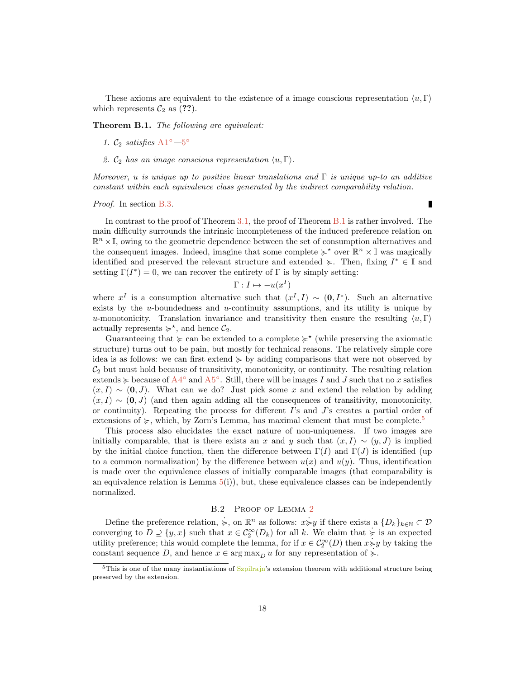These axioms are equivalent to the existence of a image conscious representation  $\langle u, \Gamma \rangle$ which represents  $C_2$  as (??).

<span id="page-17-1"></span>Theorem B.1. The following are equivalent:

- 1.  $\mathcal{C}_2$  satisfies  $A1^{\circ}$  $A1^{\circ}$  -[5](#page-14-1)°
- 2.  $\mathcal{C}_2$  has an image conscious representation  $\langle u, \Gamma \rangle$ .

Moreover, u is unique up to positive linear translations and  $\Gamma$  is unique up-to an additive constant within each equivalence class generated by the indirect comparability relation.

#### Proof. In section [B.3.](#page-18-0)

In contrast to the proof of Theorem [3.1,](#page-7-1) the proof of Theorem [B.1](#page-17-1) is rather involved. The main difficulty surrounds the intrinsic incompleteness of the induced preference relation on  $\mathbb{R}^n \times \mathbb{I}$ , owing to the geometric dependence between the set of consumption alternatives and the consequent images. Indeed, imagine that some complete  $\succcurlyeq^*$  over  $\mathbb{R}^n \times \mathbb{I}$  was magically identified and preserved the relevant structure and extended  $\succ$ . Then, fixing  $I^* \in \mathbb{I}$  and setting  $\Gamma(I^*) = 0$ , we can recover the entirety of  $\Gamma$  is by simply setting:

$$
\Gamma: I \mapsto -u(x^I)
$$

where  $x^I$  is a consumption alternative such that  $(x^I, I) \sim (0, I^*)$ . Such an alternative exists by the  $u$ -boundedness and  $u$ -continuity assumptions, and its utility is unique by u-monotonicity. Translation invariance and transitivity then ensure the resulting  $\langle u, \Gamma \rangle$ actually represents  $\succcurlyeq^*$ , and hence  $\mathcal{C}_2$ .

Guaranteeing that  $\succcurlyeq$  can be extended to a complete  $\succcurlyeq^*$  (while preserving the axiomatic structure) turns out to be pain, but mostly for technical reasons. The relatively simple core idea is as follows: we can first extend  $\succeq$  by adding comparisons that were not observed by  $C_2$  but must hold because of transitivity, monotonicity, or continuity. The resulting relation extends  $\succcurlyeq$  because of [A4](#page-14-4)<sup>°</sup> and [A5](#page-14-1)<sup>°</sup>. Still, there will be images I and J such that no x satisfies  $(x, I) \sim (0, J)$ . What can we do? Just pick some x and extend the relation by adding  $(x, I) \sim (0, J)$  (and then again adding all the consequences of transitivity, monotonicity, or continuity). Repeating the process for different  $I$ 's and  $J$ 's creates a partial order of extensions of  $\succcurlyeq$ , which, by Zorn's Lemma, has maximal element that must be complete.<sup>[5](#page-17-2)</sup>

This process also elucidates the exact nature of non-uniqueness. If two images are initially comparable, that is there exists an x and y such that  $(x, I) \sim (y, J)$  is implied by the initial choice function, then the difference between  $\Gamma(I)$  and  $\Gamma(J)$  is identified (up to a common normalization) by the difference between  $u(x)$  and  $u(y)$ . Thus, identification is made over the equivalence classes of initially comparable images (that comparability is an equivalence relation is Lemma  $5(i)$  $5(i)$ , but, these equivalence classes can be independently normalized.

# B.[2](#page-16-0) PROOF OF LEMMA 2

<span id="page-17-0"></span>Define the preference relation,  $\succeq$ , on  $\mathbb{R}^n$  as follows:  $x\succeq y$  if there exists a  $\{D_k\}_{k\in\mathbb{N}}\subset\mathcal{D}$ converging to  $D \supseteq \{y, x\}$  such that  $x \in C_2^{\infty}(D_k)$  for all k. We claim that  $\succeq$  is an expected utility preference; this would complete the lemma, for if  $x \in C_2^{\infty}(D)$  then  $x \succcurlyeq y$  by taking the constant sequence D, and hence  $x \in \arg \max_D u$  for any representation of  $\succeq$ .

Г

<span id="page-17-2"></span> $5$ This is one of the many instantiations of  $Szpi$ ilrajn's extension theorem with additional structure being preserved by the extension.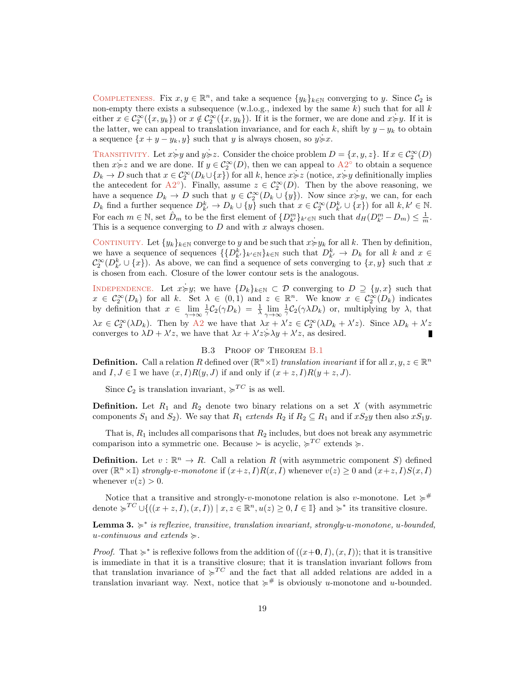COMPLETENESS. Fix  $x, y \in \mathbb{R}^n$ , and take a sequence  $\{y_k\}_{k \in \mathbb{N}}$  converging to y. Since  $\mathcal{C}_2$  is non-empty there exists a subsequence (w.l.o.g., indexed by the same  $k$ ) such that for all  $k$ either  $x \in C_2^{\infty}(\{x, y_k\})$  or  $x \notin C_2^{\infty}(\{x, y_k\})$ . If it is the former, we are done and  $x \neq y$ . If it is the latter, we can appeal to translation invariance, and for each k, shift by  $y - y_k$  to obtain a sequence  $\{x + y - y_k, y\}$  such that y is always chosen, so  $y \ge x$ .

TRANSITIVITY. Let  $x \succcurlyeq y$  and  $y \succcurlyeq z$ . Consider the choice problem  $D = \{x, y, z\}$ . If  $x \in C_2^{\infty}(D)$ then  $x \geq z$  and we are done. If  $y \in C_2^{\infty}(D)$ , then we can appeal to  $A2^{\circ}$  $A2^{\circ}$  to obtain a sequence  $D_k \to D$  such that  $x \in C_2^{\infty}(D_k \cup \{x\})$  for all k, hence  $x \neq z$  (notice,  $x \neq y$  definitionally implies the antecedent for [A2](#page-6-1)<sup>o</sup>). Finally, assume  $z \in C_2^{\infty}(D)$ . Then by the above reasoning, we have a sequence  $D_k \to D$  such that  $y \in C_2^{\infty}(D_k \cup \{y\})$ . Now since  $x \neq y$ , we can, for each  $D_k$  find a further sequence  $D_{k'}^k \to D_k \cup \{y\}$  such that  $x \in C_2^{\infty}(D_{k'}^k \cup \{x\})$  for all  $k, k' \in \mathbb{N}$ . For each  $m \in \mathbb{N}$ , set  $\hat{D}_m$  to be the first element of  $\{D_{k'}^m\}_{k'\in\mathbb{N}}$  such that  $d_H(D_{k'}^m - D_m) \leq \frac{1}{m}$ . This is a sequence converging to  $D$  and with  $x$  always chosen.

CONTINUITY. Let  $\{y_k\}_{k\in\mathbb{N}}$  converge to y and be such that  $x \neq y_k$  for all k. Then by definition, we have a sequence of sequences  $\{\{D_{k'}^k\}_{k'\in\mathbb{N}}\}_{k\in\mathbb{N}}$  such that  $D_{k'}^k \to D_k$  for all k and  $x \in$  $\mathcal{C}^{\infty}_2(D^k_{k'} \cup \{x\})$ . As above, we can find a sequence of sets converging to  $\{x, y\}$  such that x is chosen from each. Closure of the lower contour sets is the analogous.

INDEPENDENCE. Let  $x \neq y$ ; we have  $\{D_k\}_{k \in \mathbb{N}} \subset \mathcal{D}$  converging to  $D \supseteq \{y, x\}$  such that  $x \in \mathcal{C}_2^{\infty}(D_k)$  for all k. Set  $\lambda \in (0,1)$  and  $z \in \mathbb{R}^n$ . We know  $x \in \mathcal{C}_2^{\infty}(D_k)$  indicates by definition that  $x \in \lim_{\gamma \to \infty}$  $\frac{1}{\gamma}C_2(\gamma D_k) = \frac{1}{\lambda}\lim_{\gamma\to\infty}$  $\frac{1}{\gamma}C_2(\gamma\lambda D_k)$  or, multiplying by  $\lambda$ , that  $\lambda x \in C_2^{\infty}(\lambda D_k)$ . Then by [A2](#page-6-1) we have that  $\lambda x + \lambda' z \in C_2^{\infty}(\lambda D_k + \lambda' z)$ . Since  $\lambda D_k + \lambda' z$ converges to  $\lambda D + \lambda' z$ , we have that  $\lambda x + \lambda' z \ge \lambda y + \lambda' z$ , as desired.

#### B.3 PROOF OF THEOREM [B.1](#page-17-1)

<span id="page-18-0"></span>**Definition.** Call a relation R defined over  $(\mathbb{R}^n \times \mathbb{I})$  translation invariant if for all  $x, y, z \in \mathbb{R}^n$ and  $I, J \in \mathbb{I}$  we have  $(x, I)R(y, J)$  if and only if  $(x + z, I)R(y + z, J)$ .

Since  $C_2$  is translation invariant,  $\succcurlyeq^{TC}$  is as well.

**Definition.** Let  $R_1$  and  $R_2$  denote two binary relations on a set X (with asymmetric components  $S_1$  and  $S_2$ ). We say that  $R_1$  extends  $R_2$  if  $R_2 \subseteq R_1$  and if  $xS_2y$  then also  $xS_1y$ .

That is,  $R_1$  includes all comparisons that  $R_2$  includes, but does not break any asymmetric comparison into a symmetric one. Because  $\succ$  is acyclic,  $\succcurlyeq^{TC}$  extends  $\succcurlyeq$ .

**Definition.** Let  $v : \mathbb{R}^n \to R$ . Call a relation R (with asymmetric component S) defined over  $(\mathbb{R}^n \times \mathbb{I})$  strongly-v-monotone if  $(x+z, I)R(x, I)$  whenever  $v(z) \geq 0$  and  $(x+z, I)S(x, I)$ whenever  $v(z) > 0$ .

Notice that a transitive and strongly-v-monotone relation is also v-monotone. Let  $\succcurlyeq^{\#}$ denote  $\succcurlyeq^{TC} \cup \{((x+z, I), (x, I)) \mid x, z \in \mathbb{R}^n, u(z) \geq 0, I \in \mathbb{I}\}\$ and  $\succcurlyeq^*$  its transitive closure.

<span id="page-18-1"></span>**Lemma 3.**  $\geq^*$  is reflexive, transitive, translation invariant, strongly-u-monotone, u-bounded, u-continuous and extends  $\succeq$ .

*Proof.* That  $\succcurlyeq^*$  is reflexive follows from the addition of  $((x+0, I), (x, I))$ ; that it is transitive is immediate in that it is a transitive closure; that it is translation invariant follows from that translation invariance of  $\succcurlyeq^{TC}$  and the fact that all added relations are added in a translation invariant way. Next, notice that  $\succcurlyeq^{\#}$  is obviously u-monotone and u-bounded.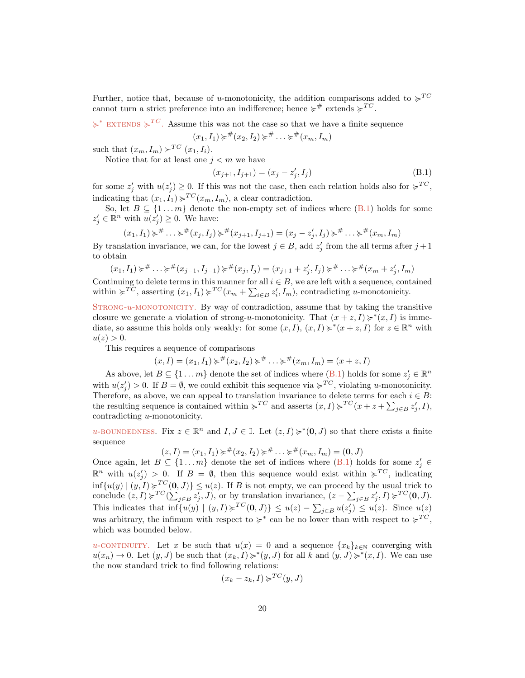Further, notice that, because of u-monotonicity, the addition comparisons added to  $\succcurlyeq^{TC}$ cannot turn a strict preference into an indifference; hence  $\succcurlyeq^{\#}$  extends  $\succcurlyeq^{TC}$ .

 $\succcurlyeq^*$  EXTENDS  $\succcurlyeq^{TC}$ . Assume this was not the case so that we have a finite sequence

$$
(x_1, I_1) \succcurlyeq^{\#}(x_2, I_2) \succcurlyeq^{\#} \ldots \succcurlyeq^{\#}(x_m, I_m)
$$

such that  $(x_m, I_m) \succ^{TC} (x_1, I_i)$ .

Notice that for at least one  $j < m$  we have

<span id="page-19-0"></span>
$$
(x_{j+1}, I_{j+1}) = (x_j - z'_j, I_j)
$$
\n(B.1)

for some  $z'_j$  with  $u(z'_j) \geq 0$ . If this was not the case, then each relation holds also for  $\succcurlyeq^{TC}$ , indicating that  $(x_1, I_1) \geq T^C(x_m, I_m)$ , a clear contradiction.

So, let  $B \subseteq \{1...m\}$  denote the non-empty set of indices where  $(B.1)$  holds for some  $z'_j \in \mathbb{R}^n$  with  $u(z'_j) \geq 0$ . We have:

$$
(x_1, I_1) \succcurlyeq^{\#} \ldots \succcurlyeq^{\#} (x_j, I_j) \succcurlyeq^{\#} (x_{j+1}, I_{j+1}) = (x_j - z'_j, I_j) \succcurlyeq^{\#} \ldots \succcurlyeq^{\#} (x_m, I_m)
$$

By translation invariance, we can, for the lowest  $j \in B$ , add  $z'_{j}$  from the all terms after  $j+1$ to obtain

$$
(x_1, I_1) \succcurlyeq^{\#} \ldots \succcurlyeq^{\#} (x_{j-1}, I_{j-1}) \succcurlyeq^{\#} (x_j, I_j) = (x_{j+1} + z'_j, I_j) \succcurlyeq^{\#} \ldots \succcurlyeq^{\#} (x_m + z'_j, I_m)
$$

Continuing to delete terms in this manner for all  $i \in B$ , we are left with a sequence, contained within  $\succcurlyeq^{TC}$ , asserting  $(x_1, I_1) \succcurlyeq^{TC} (x_m + \sum_{i \in B} z'_i, I_m)$ , contradicting u-monotonicity.

 $STRONG-u-MONOTONICITY.$  By way of contradiction, assume that by taking the transitive closure we generate a violation of strong-u-monotonicity. That  $(x + z, I) \geq^*(x, I)$  is immediate, so assume this holds only weakly: for some  $(x, I), (x, I) \geq^*(x + z, I)$  for  $z \in \mathbb{R}^n$  with  $u(z) > 0.$ 

This requires a sequence of comparisons

$$
(x,I)=(x_1,I_1)\succcurlyeq^{\#}(x_2,I_2)\succcurlyeq^{\#}\ldots\succcurlyeq^{\#}(x_m,I_m)=(x+z,I)
$$

As above, let  $B \subseteq \{1 \dots m\}$  denote the set of indices where  $(B.1)$  holds for some  $z_j \in \mathbb{R}^n$ with  $u(z_j') > 0$ . If  $B = \emptyset$ , we could exhibit this sequence via  $\succcurlyeq^{TC}$ , violating u-monotonicity. Therefore, as above, we can appeal to translation invariance to delete terms for each  $i \in B$ : the resulting sequence is contained within  $\succcurlyeq^{TC}$  and asserts  $(x, I) \succcurlyeq^{TC} (x + z + \sum_{j \in B} z'_j, I)$ , contradicting u-monotonicity.

u-BOUNDEDNESS. Fix  $z \in \mathbb{R}^n$  and  $I, J \in \mathbb{I}$ . Let  $(z, I) \geq^* (\mathbf{0}, J)$  so that there exists a finite sequence

 $(z, I) = (x_1, I_1) \succcurlyeq^{\#}(x_2, I_2) \succcurlyeq^{\#} \ldots \succcurlyeq^{\#}(x_m, I_m) = (0, J)$ 

Once again, let  $B \subseteq \{1 \dots m\}$  denote the set of indices where  $(B.1)$  holds for some  $z_j \in$  $\mathbb{R}^n$  with  $u(z'_j) > 0$ . If  $B = \emptyset$ , then this sequence would exist within  $\succcurlyeq^{TC}$ , indicating  $\inf\{u(y) \mid (y, I) \geq T^C(0, J)\} \leq u(z)$ . If B is not empty, we can proceed by the usual trick to conclude  $(z, I) \succcurlyeq^{TC}(\sum_{j \in B} z'_j, J)$ , or by translation invariance,  $(z - \sum_{j \in B} z'_j, I) \succcurlyeq^{TC}(\mathbf{0}, J)$ . This indicates that  $\inf\{u(y) \mid (y, I) \succcurlyeq^{TC}(\mathbf{0}, J)\} \leq u(z) - \sum_{j \in B} u(z'_j) \leq u(z)$ . Since  $u(z)$ was arbitrary, the infimum with respect to  $\succcurlyeq^*$  can be no lower than with respect to  $\succcurlyeq^{TC}$ , which was bounded below.

u-continuity. Let x be such that  $u(x) = 0$  and a sequence  $\{x_k\}_{k\in\mathbb{N}}$  converging with  $u(x_n) \to 0$ . Let  $(y, J)$  be such that  $(x_k, I) \neq^*(y, J)$  for all k and  $(y, J) \neq^*(x, I)$ . We can use the now standard trick to find following relations:

$$
(x_k - z_k, I) \succcurlyeq^{TC} (y, J)
$$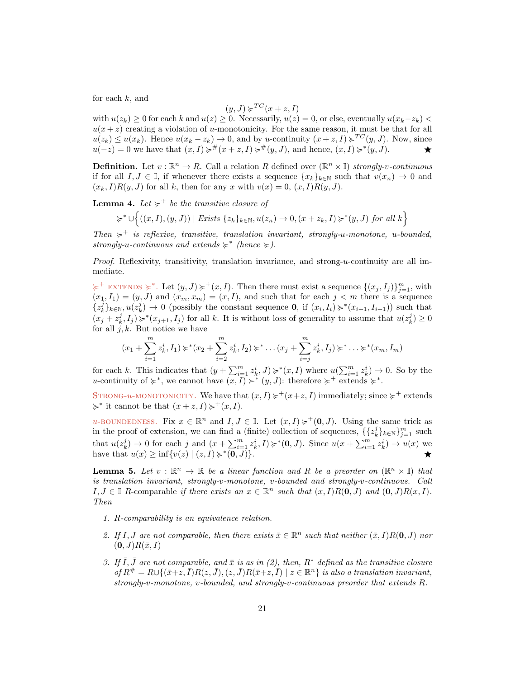for each  $k$ , and

$$
(y, J) \succcurlyeq^{TC} (x + z, I)
$$

with  $u(z_k) \geq 0$  for each k and  $u(z) \geq 0$ . Necessarily,  $u(z) = 0$ , or else, eventually  $u(x_k-z_k)$  $u(x + z)$  creating a violation of u-monotonicity. For the same reason, it must be that for all  $u(z_k) \le u(x_k)$ . Hence  $u(x_k - z_k) \to 0$ , and by u-continuity  $(x + z, I) \ge T^C(y, J)$ . Now, since  $u(-z) = 0$  we have that  $(x, I) \neq^{\#}(x + z, I) \neq^{\#}(y, J)$ , and hence,  $(x, I) \geq^{\ast}(y, J)$ .

**Definition.** Let  $v : \mathbb{R}^n \to R$ . Call a relation R defined over  $(\mathbb{R}^n \times \mathbb{I})$  strongly-v-continuous if for all  $I, J \in \mathbb{I}$ , if whenever there exists a sequence  $\{x_k\}_{k\in\mathbb{N}}$  such that  $v(x_n) \to 0$  and  $(x_k, I)R(y, J)$  for all k, then for any x with  $v(x) = 0$ ,  $(x, I)R(y, J)$ .

**Lemma 4.** Let  $\succcurlyeq^+$  be the transitive closure of

$$
\succcurlyeq^* \cup \left\{ ((x, I), (y, J)) \mid \text{Exists } \{z_k\}_{k \in \mathbb{N}}, u(z_n) \to 0, (x + z_k, I) \succcurlyeq^*(y, J) \text{ for all } k \right\}
$$

Then  $\succcurlyeq^+$  is reflexive, transitive, translation invariant, strongly-u-monotone, u-bounded, strongly-u-continuous and extends  $\succcurlyeq^*$  (hence  $\succcurlyeq$ ).

Proof. Reflexivity, transitivity, translation invariance, and strong-u-continuity are all immediate.

 $\succcurlyeq^+$  EXTENDS  $\succcurlyeq^*$ . Let  $(y, J) \succcurlyeq^+(x, I)$ . Then there must exist a sequence  $\{(x_j, I_j)\}_{j=1}^m$ , with  $(x_1, I_1) = (y, J)$  and  $(x_m, x_m) = (x, I)$ , and such that for each  $j < m$  there is a sequence  ${z_k^j}_{k\in\mathbb{N}}, u(z_k^j) \to 0$  (possibly the constant sequence **0**, if  $(x_i, I_i) \geq^*(x_{i+1}, I_{i+1})$ ) such that  $(x_j + z_k^j, I_j) \geqslant^*(x_{j+1}, I_j)$  for all k. It is without loss of generality to assume that  $u(z_k^j) \geq 0$ for all  $j, k$ . But notice we have

$$
(x_1 + \sum_{i=1}^m z_k^i, I_1) \succcurlyeq^*(x_2 + \sum_{i=2}^m z_k^i, I_2) \succcurlyeq^* \dots (x_j + \sum_{i=j}^m z_k^i, I_j) \succcurlyeq^* \dots \succcurlyeq^*(x_m, I_m)
$$

for each k. This indicates that  $(y + \sum_{i=1}^{m} z_k^i, J) \succcurlyeq^*(x, I)$  where  $u(\sum_{i=1}^{m} z_k^i) \to 0$ . So by the u-continuity of  $\succcurlyeq^*$ , we cannot have  $(x, I) \succ^* (y, J)$ : therefore  $\succcurlyeq^+$  extends  $\succcurlyeq^*$ .

STRONG-u-MONOTONICITY. We have that  $(x, I) \geq (x+z, I)$  immediately; since  $\succeq^+$  extends  $\succcurlyeq^*$  it cannot be that  $(x + z, I) \succcurlyeq^+ (x, I)$ .

u-BOUNDEDNESS. Fix  $x \in \mathbb{R}^n$  and  $I, J \in \mathbb{I}$ . Let  $(x, I) \geq (0, J)$ . Using the same trick as in the proof of extension, we can find a (finite) collection of sequences,  $\{\{z_k^j\}_{k\in\mathbb{N}}\}_{j=1}^m$  such that  $u(z_k^j) \to 0$  for each j and  $(x + \sum_{i=1}^m z_k^i, I) \geq^*(0, J)$ . Since  $u(x + \sum_{i=1}^m z_k^i) \to u(x)$  we have that  $u(x) \ge \inf \{ v(z) \mid (z, I) \succcurlyeq^* (\overline{0}, \overline{J}) \}.$ 

<span id="page-20-0"></span>**Lemma 5.** Let  $v : \mathbb{R}^n \to \mathbb{R}$  be a linear function and R be a preorder on  $(\mathbb{R}^n \times \mathbb{I})$  that is translation invariant, strongly-v-monotone, v-bounded and strongly-v-continuous. Call  $I, J \in \mathbb{I}$  R-comparable if there exists an  $x \in \mathbb{R}^n$  such that  $(x, I)R(\mathbf{0}, J)$  and  $(\mathbf{0}, J)R(x, I)$ . Then

- 1. R-comparability is an equivalence relation.
- 2. If I, J are not comparable, then there exists  $\bar{x} \in \mathbb{R}^n$  such that neither  $(\bar{x}, I)R(0, J)$  nor  $(0, J)R(\bar{x}, I)$
- 3. If  $\overline{I}, \overline{J}$  are not comparable, and  $\overline{x}$  is as in (2), then,  $R^*$  defined as the transitive closure of  $R^{\#}=R\cup\{(\bar{x}+z,\bar{I})R(z,\bar{J}), (z,\bar{J})R(\bar{x}+z,\bar{I})\mid z\in\mathbb{R}^{n}\}\$ is also a translation invariant, strongly-v-monotone, v-bounded, and strongly-v-continuous preorder that extends R.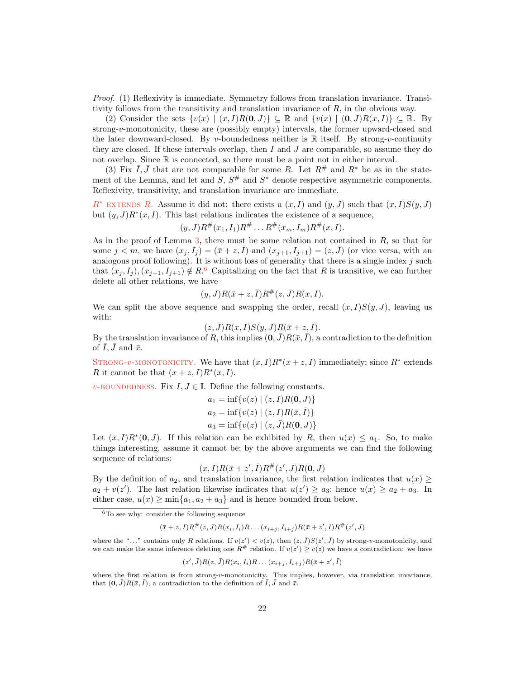Proof. (1) Reflexivity is immediate. Symmetry follows from translation invariance. Transitivity follows from the transitivity and translation invariance of R, in the obvious way.

(2) Consider the sets  $\{v(x) | (x, I)R(0, J)\} \subseteq \mathbb{R}$  and  $\{v(x) | (0, J)R(x, I)\} \subseteq \mathbb{R}$ . By strong-v-monotonicity, these are (possibly empty) intervals, the former upward-closed and the later downward-closed. By v-boundedness neither is  $\mathbb R$  itself. By strong-v-continuity they are closed. If these intervals overlap, then  $I$  and  $J$  are comparable, so assume they do not overlap. Since R is connected, so there must be a point not in either interval.

(3) Fix  $\overline{I}, \overline{J}$  that are not comparable for some R. Let  $R^{\#}$  and  $R^*$  be as in the statement of the Lemma, and let and  $S, S^{\#}$  and  $S^*$  denote respective asymmetric components. Reflexivity, transitivity, and translation invariance are immediate.

 $R^*$  extends R. Assume it did not: there exists a  $(x, I)$  and  $(y, J)$  such that  $(x, I)S(y, J)$ but  $(y, J)R^*(x, I)$ . This last relations indicates the existence of a sequence,

$$
(y, J)R^{\#}(x_1, I_1)R^{\#}\ldots R^{\#}(x_m, I_m)R^{\#}(x, I).
$$

As in the proof of Lemma [3,](#page-18-1) there must be some relation not contained in  $R$ , so that for some  $j < m$ , we have  $(x_j, I_j) = (\bar{x} + z, I)$  and  $(x_{j+1}, I_{j+1}) = (z, J)$  (or vice versa, with an analogous proof following). It is without loss of generality that there is a single index  $j$  such that  $(x_j, I_j), (x_{j+1}, I_{j+1}) \notin R$ .<sup>[6](#page-21-0)</sup> Capitalizing on the fact that R is transitive, we can further delete all other relations, we have

$$
(y, J)R(\bar{x} + z, \bar{I})R^{\#}(z, \bar{J})R(x, I).
$$

We can split the above sequence and swapping the order, recall  $(x, I)S(y, J)$ , leaving us with:

$$
(z, \bar{J})R(x, I)S(y, J)R(\bar{x} + z, \bar{I}).
$$

By the translation invariance of R, this implies  $(0, \bar{J})R(\bar{x}, \bar{I})$ , a contradiction to the definition of  $\overline{I}$ ,  $\overline{J}$  and  $\overline{x}$ .

STRONG-v-MONOTONICITY. We have that  $(x, I)R^*(x+z, I)$  immediately; since  $R^*$  extends R it cannot be that  $(x + z, I)R^*(x, I)$ .

v-BOUNDEDNESS. Fix  $I, J \in \mathbb{I}$ . Define the following constants.

$$
a_1 = \inf \{ v(z) | (z, I)R(\mathbf{0}, J) \}
$$
  
\n
$$
a_2 = \inf \{ v(z) | (z, I)R(\bar{x}, \bar{I}) \}
$$
  
\n
$$
a_3 = \inf \{ v(z) | (z, \bar{J})R(\mathbf{0}, J) \}
$$

Let  $(x, I)R^*(0, J)$ . If this relation can be exhibited by R, then  $u(x) \leq a_1$ . So, to make things interesting, assume it cannot be; by the above arguments we can find the following sequence of relations:

$$
(x,I)R(\bar{x}+z',\bar{I})R^{\#}(z',\bar{J})R(\mathbf{0},J)
$$

By the definition of  $a_2$ , and translation invariance, the first relation indicates that  $u(x) \geq$  $a_2 + v(z')$ . The last relation likewise indicates that  $u(z') \ge a_3$ ; hence  $u(x) \ge a_2 + a_3$ . In either case,  $u(x) \ge \min\{a_1, a_2 + a_3\}$  and is hence bounded from below.

$$
(\bar{x} + z, \bar{I})R^{\#}(z, \bar{J})R(x_i, I_i)R \dots (x_{i+j}, I_{i+j})R(\bar{x} + z', \bar{I})R^{\#}(z', \bar{J})
$$

where the "..." contains only R relations. If  $v(z') < v(z)$ , then  $(z, \bar{J})S(z', \bar{J})$  by strong-v-monotonicity, and we can make the same inference deleting one  $R^{\#}$  relation. If  $v(z') \geq v(z)$  we have a contradiction: we have

$$
(z',\bar{J})R(z,\bar{J})R(x_i,I_i)R\ldots(x_{i+j},I_{i+j})R(\bar{x}+z',\bar{I})
$$

<span id="page-21-0"></span> ${}^{6}$ To see why: consider the following sequence

where the first relation is from strong-v-monotonicity. This implies, however, via translation invariance, that  $(0, \bar{J})R(\bar{x}, \bar{I})$ , a contradiction to the definition of  $\bar{I}, \bar{J}$  and  $\bar{x}$ .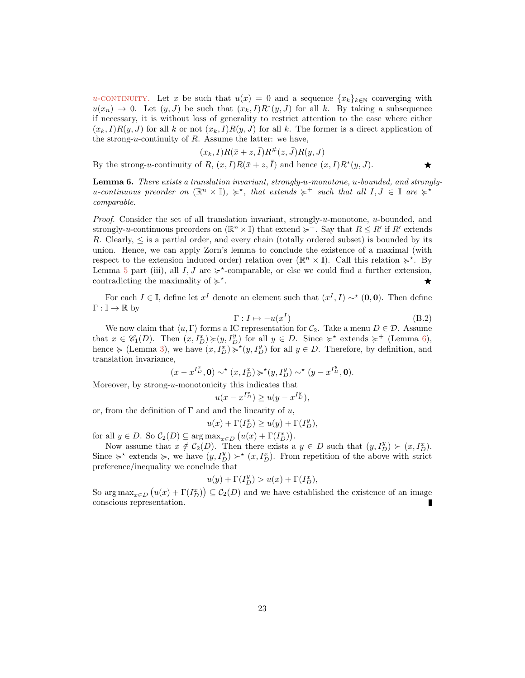u-continuity. Let x be such that  $u(x) = 0$  and a sequence  $\{x_k\}_{k\in\mathbb{N}}$  converging with  $u(x_n) \to 0$ . Let  $(y, J)$  be such that  $(x_k, I)R^*(y, J)$  for all k. By taking a subsequence if necessary, it is without loss of generality to restrict attention to the case where either  $(x_k, I)R(y, J)$  for all k or not  $(x_k, I)R(y, J)$  for all k. The former is a direct application of the strong-u-continuity of  $R$ . Assume the latter: we have,

$$
(x_k, I)R(\bar{x}+z, \bar{I})R^{\#}(z, \bar{J})R(y, J)
$$

By the strong-u-continuity of R,  $(x, I)R(\bar{x} + z, \bar{I})$  and hence  $(x, I)R^*(y, J)$ .

<span id="page-22-0"></span>Lemma 6. There exists a translation invariant, strongly-u-monotone, u-bounded, and stronglyu-continuous preorder on  $(\mathbb{R}^n \times \mathbb{I}), \succcurlyeq^*$ , that extends  $\succcurlyeq^+$  such that all  $I, J \in \mathbb{I}$  are  $\succcurlyeq^*$ comparable.

*Proof.* Consider the set of all translation invariant, strongly-u-monotone, u-bounded, and strongly-u-continuous preorders on  $(\mathbb{R}^n \times \mathbb{I})$  that extend  $\succcurlyeq^+$ . Say that  $R \leq R'$  if  $R'$  extends R. Clearly,  $\leq$  is a partial order, and every chain (totally ordered subset) is bounded by its union. Hence, we can apply Zorn's lemma to conclude the existence of a maximal (with respect to the extension induced order) relation over  $(\mathbb{R}^n \times \mathbb{I})$ . Call this relation  $\succcurlyeq^*$ . By Lemma [5](#page-20-0) part (iii), all  $I, J$  are  $\succcurlyeq^*$ -comparable, or else we could find a further extension, contradicting the maximality of  $\succcurlyeq^*$ . The contract of the contract of  $\star$ 

For each  $I \in \mathbb{I}$ , define let  $x^I$  denote an element such that  $(x^I, I) \sim^* (0, 0)$ . Then define  $\Gamma : \mathbb{I} \to \mathbb{R}$  by

$$
\Gamma: I \mapsto -u(x^I) \tag{B.2}
$$

We now claim that  $\langle u, \Gamma \rangle$  forms a IC representation for  $C_2$ . Take a menu  $D \in \mathcal{D}$ . Assume that  $x \in \mathscr{C}_1(D)$ . Then  $(x, I_D^x) \succcurlyeq (y, I_D^y)$  for all  $y \in D$ . Since  $\succcurlyeq^*$  extends  $\succcurlyeq^+$  (Lemma [6\)](#page-22-0), hence  $\succeq$  (Lemma [3\)](#page-18-1), we have  $(x, I_D^x) \succcurlyeq^{\star}(y, I_D^y)$  for all  $y \in D$ . Therefore, by definition, and translation invariance,

$$
(x-x^{I_D^x},\mathbf{0})\sim^\star (x,I_D^x)\succcurlyeq^\star (y,I_D^y)\sim^\star (y-x^{I_D^y},\mathbf{0}).
$$

Moreover, by strong- $u$ -monotonicity this indicates that

$$
u(x - x^{I_D^x}) \ge u(y - x^{I_D^y}),
$$

or, from the definition of  $\Gamma$  and and the linearity of u,

$$
u(x) + \Gamma(I_D^x) \ge u(y) + \Gamma(I_D^y),
$$

for all  $y \in D$ . So  $C_2(D) \subseteq \arg \max_{x \in D} (u(x) + \Gamma(I_D^x))$ .

Now assume that  $x \notin C_2(D)$ . Then there exists a  $y \in D$  such that  $(y, I_D^y) \succ (x, I_D^x)$ . Since  $\succcurlyeq^*$  extends  $\succcurlyeq$ , we have  $(y, I_D^y) \succ^* (x, I_D^x)$ . From repetition of the above with strict preference/inequality we conclude that

$$
u(y) + \Gamma(I^y_D) > u(x) + \Gamma(I^x_D),
$$

So  $\arg \max_{x \in D} (u(x) + \Gamma(I_D^x)) \subseteq C_2(D)$  and we have established the existence of an image conscious representation. Г